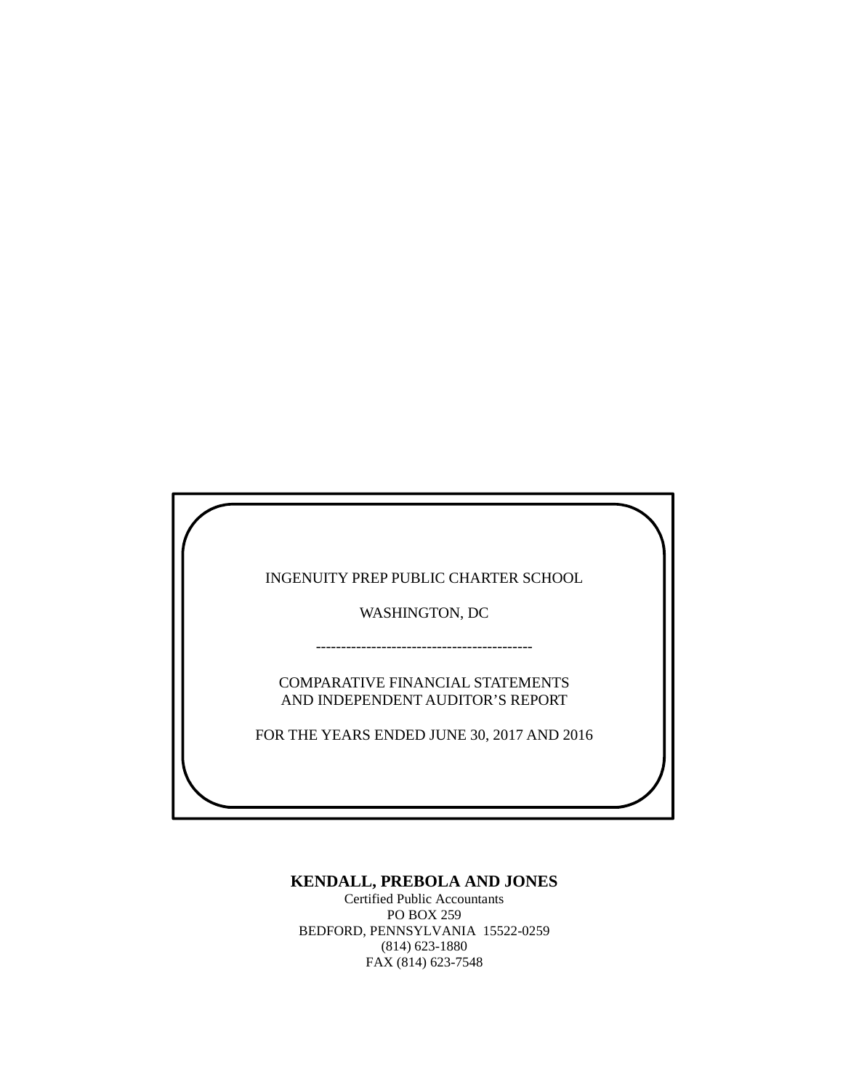INGENUITY PREP PUBLIC CHARTER SCHOOL

WASHINGTON, DC

-------------------------------------------

COMPARATIVE FINANCIAL STATEMENTS AND INDEPENDENT AUDITOR'S REPORT

FOR THE YEARS ENDED JUNE 30, 2017 AND 2016

#### **KENDALL, PREBOLA AND JONES**

Certified Public Accountants PO BOX 259 BEDFORD, PENNSYLVANIA 15522-0259 (814) 623-1880 FAX (814) 623-7548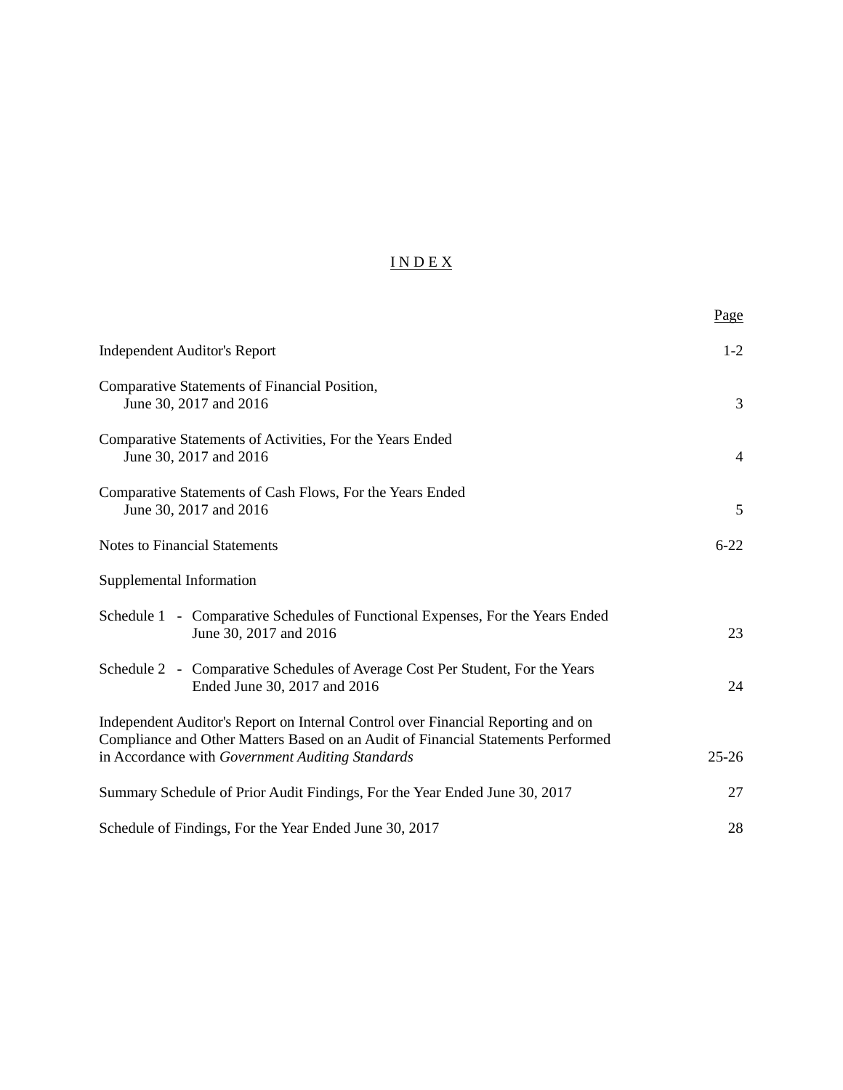# I N D E X

|                                                                                                                                                                                                                          | Page           |
|--------------------------------------------------------------------------------------------------------------------------------------------------------------------------------------------------------------------------|----------------|
| <b>Independent Auditor's Report</b>                                                                                                                                                                                      | $1-2$          |
| Comparative Statements of Financial Position,<br>June 30, 2017 and 2016                                                                                                                                                  | 3              |
| Comparative Statements of Activities, For the Years Ended<br>June 30, 2017 and 2016                                                                                                                                      | $\overline{4}$ |
| Comparative Statements of Cash Flows, For the Years Ended<br>June 30, 2017 and 2016                                                                                                                                      | 5              |
| <b>Notes to Financial Statements</b>                                                                                                                                                                                     | $6 - 22$       |
| Supplemental Information                                                                                                                                                                                                 |                |
| Schedule 1 - Comparative Schedules of Functional Expenses, For the Years Ended<br>June 30, 2017 and 2016                                                                                                                 | 23             |
| Schedule 2 - Comparative Schedules of Average Cost Per Student, For the Years<br>Ended June 30, 2017 and 2016                                                                                                            | 24             |
| Independent Auditor's Report on Internal Control over Financial Reporting and on<br>Compliance and Other Matters Based on an Audit of Financial Statements Performed<br>in Accordance with Government Auditing Standards | $25 - 26$      |
| Summary Schedule of Prior Audit Findings, For the Year Ended June 30, 2017                                                                                                                                               | 27             |
| Schedule of Findings, For the Year Ended June 30, 2017                                                                                                                                                                   | 28             |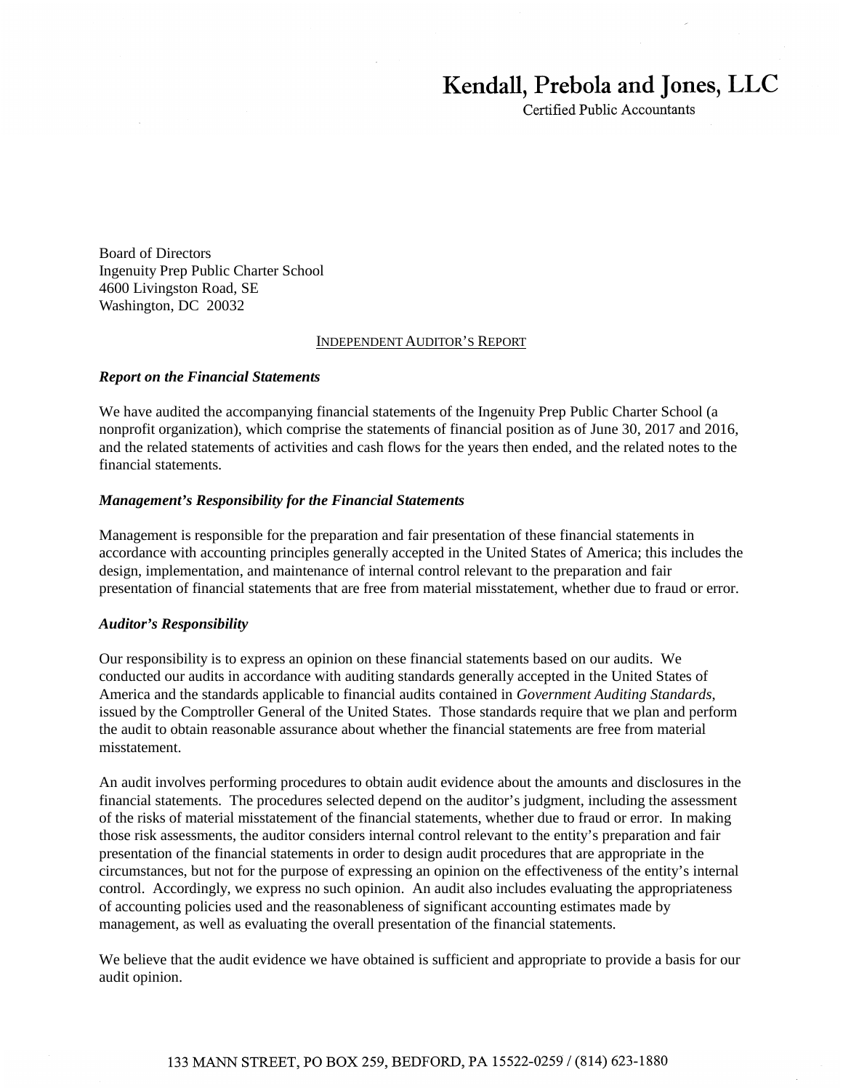# Kendall, Prebola and Jones, LLC

Certified Public Accountants

Board of Directors Ingenuity Prep Public Charter School 4600 Livingston Road, SE Washington, DC 20032

#### INDEPENDENT AUDITOR'S REPORT

#### *Report on the Financial Statements*

We have audited the accompanying financial statements of the Ingenuity Prep Public Charter School (a nonprofit organization), which comprise the statements of financial position as of June 30, 2017 and 2016, and the related statements of activities and cash flows for the years then ended, and the related notes to the financial statements.

#### *Management's Responsibility for the Financial Statements*

Management is responsible for the preparation and fair presentation of these financial statements in accordance with accounting principles generally accepted in the United States of America; this includes the design, implementation, and maintenance of internal control relevant to the preparation and fair presentation of financial statements that are free from material misstatement, whether due to fraud or error.

#### *Auditor's Responsibility*

Our responsibility is to express an opinion on these financial statements based on our audits. We conducted our audits in accordance with auditing standards generally accepted in the United States of America and the standards applicable to financial audits contained in *Government Auditing Standards*, issued by the Comptroller General of the United States. Those standards require that we plan and perform the audit to obtain reasonable assurance about whether the financial statements are free from material misstatement.

An audit involves performing procedures to obtain audit evidence about the amounts and disclosures in the financial statements. The procedures selected depend on the auditor's judgment, including the assessment of the risks of material misstatement of the financial statements, whether due to fraud or error. In making those risk assessments, the auditor considers internal control relevant to the entity's preparation and fair presentation of the financial statements in order to design audit procedures that are appropriate in the circumstances, but not for the purpose of expressing an opinion on the effectiveness of the entity's internal control. Accordingly, we express no such opinion. An audit also includes evaluating the appropriateness of accounting policies used and the reasonableness of significant accounting estimates made by management, as well as evaluating the overall presentation of the financial statements.

We believe that the audit evidence we have obtained is sufficient and appropriate to provide a basis for our audit opinion.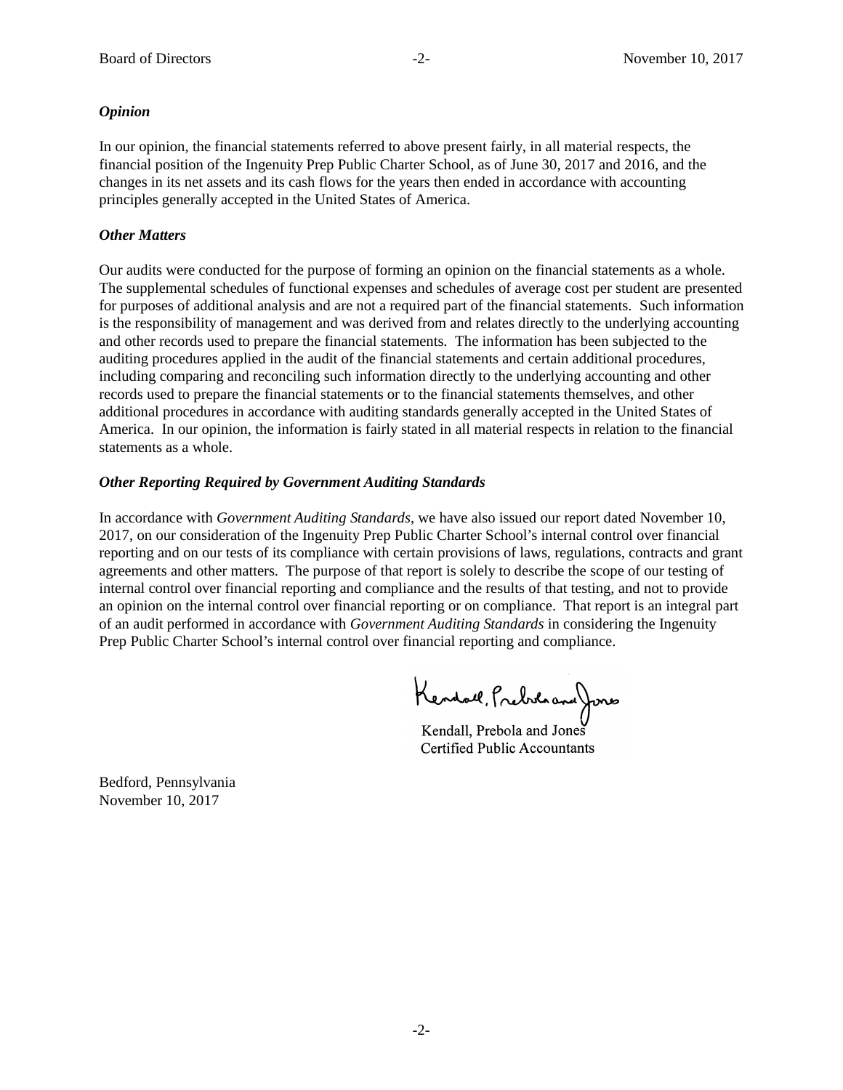#### *Opinion* financial position of the Latin American Youth Center YouthBuild Public Charter School, Inc., as of June  $\alpha$  2015 and 2014, and the changes in its net assets and its net assets and its cash flows for the years then ended in  $\alpha$

In our opinion, the financial statements referred to above present fairly, in all material respects, the financial position of the Ingenuity Prep Public Charter School, as of June 30, 2017 and 2016, and the changes in its net assets and its cash flows for the years then ended in accordance with accounting principles generally accepted in the United States of America. accordance with accounting principles generally accepted in the United States of America.

#### *Other Matters* for purposes of a required part of analysis and are not are not a required part of the financial statements. In addition, the financial statements. In addition, the financial statements. In addition, the financial statemen

Our audits were conducted for the purpose of forming an opinion on the financial statements as a whole. The supplemental schedules of functional expenses and schedules of average cost per student are presented for purposes of additional analysis and are not a required part of the financial statements. Such information is the responsibility of management and was derived from and relates directly to the underlying accounting and other records used to prepare the financial statements. The information has been subjected to the auditing procedures applied in the audit of the financial statements and certain additional procedures, including comparing and reconciling such information directly to the underlying accounting and other records used to prepare the financial statements or to the financial statements themselves, and other additional procedures in accordance with auditing standards generally accepted in the United States of America. In our opinion, the information is fairly stated in all material respects in relation to the financial statements as a whole. Our audits were conducted for the purpose of forming an opinion on the financial statements as a whole.

#### *Other Reporting Required by Government Auditing Standards*

In accordance with *Government Auditing Standards*, we have also issued our report dated November 10, 2017, on our consideration of the Ingenuity Prep Public Charter School's internal control over financial reporting and on our tests of its compliance with certain provisions of laws, regulations, contracts and grant agreements and other matters. The purpose of that report is solely to describe the scope of our testing of internal control over financial reporting and compliance and the results of that testing, and not to provide an opinion on the internal control over financial reporting or on compliance. That report is an integral part of an audit performed in accordance with Government Auditing Standards in considering the Ingenuity Prep Public Charter School's internal control over financial reporting and compliance. In accordance with Government Auditing Standards, we have also issued our report dated November 10.

Kendal, Prebihand Jones

Kendall, Prebola and Jones Kendall, Prebola and Jones Certified Public Accountants Certified Public Accountants

Bedford, Pennsylvania Bedford, Pennsylvania November 10, 2017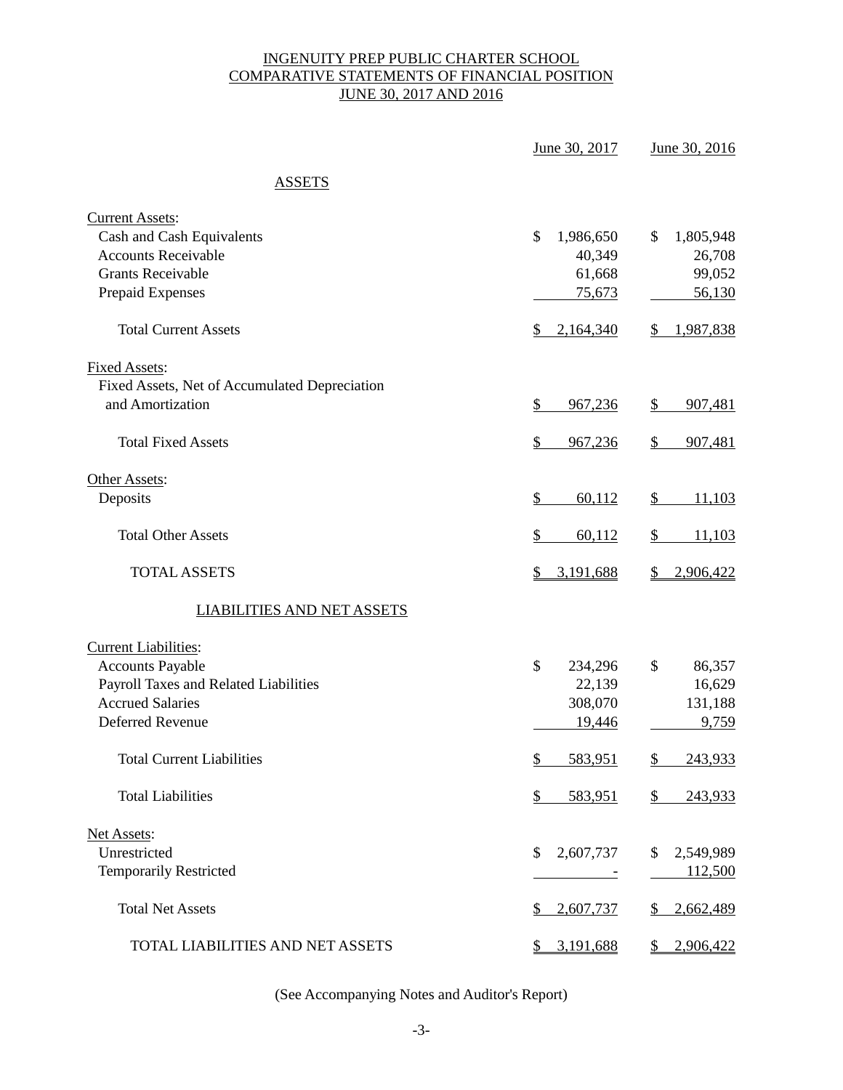# INGENUITY PREP PUBLIC CHARTER SCHOOL COMPARATIVE STATEMENTS OF FINANCIAL POSITION JUNE 30, 2017 AND 2016

|                                               | June 30, 2017             | June 30, 2016           |
|-----------------------------------------------|---------------------------|-------------------------|
| <b>ASSETS</b>                                 |                           |                         |
| <b>Current Assets:</b>                        |                           |                         |
| Cash and Cash Equivalents                     | \$<br>1,986,650           | \$<br>1,805,948         |
| <b>Accounts Receivable</b>                    | 40,349                    | 26,708                  |
| <b>Grants Receivable</b>                      | 61,668                    | 99,052                  |
| Prepaid Expenses                              | 75,673                    | 56,130                  |
| <b>Total Current Assets</b>                   | 2,164,340<br>S            | 1,987,838<br>\$         |
| <b>Fixed Assets:</b>                          |                           |                         |
| Fixed Assets, Net of Accumulated Depreciation |                           |                         |
| and Amortization                              | \$<br>967,236             | \$<br>907,481           |
| <b>Total Fixed Assets</b>                     | \$<br>967,236             | \$<br>907,481           |
| Other Assets:                                 |                           |                         |
| Deposits                                      | \$<br>60,112              | \$<br>11,103            |
| <b>Total Other Assets</b>                     | \$<br>60,112              | $\frac{1}{2}$<br>11,103 |
| <b>TOTAL ASSETS</b>                           | 3,191,688<br>\$           | 2,906,422               |
| <b>LIABILITIES AND NET ASSETS</b>             |                           |                         |
| <b>Current Liabilities:</b>                   |                           |                         |
| <b>Accounts Payable</b>                       | \$<br>234,296             | \$<br>86,357            |
| Payroll Taxes and Related Liabilities         | 22,139                    | 16,629                  |
| <b>Accrued Salaries</b>                       | 308,070                   | 131,188                 |
| <b>Deferred Revenue</b>                       | 19,446                    | 9,759                   |
| <b>Total Current Liabilities</b>              | $\frac{1}{2}$<br>583,951  | \$<br>243,933           |
| <b>Total Liabilities</b>                      | \$<br>583,951             | \$<br>243,933           |
| Net Assets:                                   |                           |                         |
| Unrestricted                                  | $\mathbb{S}$<br>2,607,737 | 2,549,989<br>\$         |
| <b>Temporarily Restricted</b>                 |                           | 112,500                 |
| <b>Total Net Assets</b>                       | 2,607,737<br>\$           | 2,662,489<br>\$.        |
| TOTAL LIABILITIES AND NET ASSETS              | \$3,191,688               | 2,906,422<br><u>\$</u>  |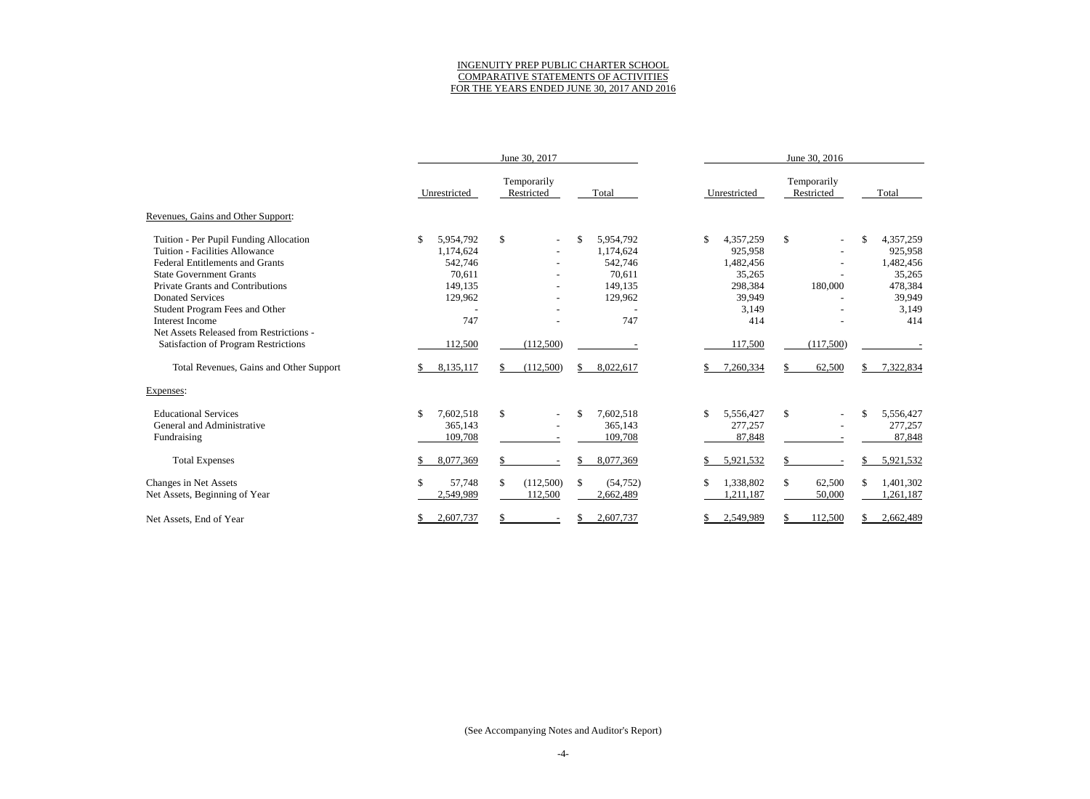#### INGENUITY PREP PUBLIC CHARTER SCHOOL COMPARATIVE STATEMENTS OF ACTIVITIES FOR THE YEARS ENDED JUNE 30, 2017 AND 2016

|                                                                                                                                                                                                 | June 30, 2017                                                |                                       |                                                                         | June 30, 2016                                                |                                           |                                                              |  |  |
|-------------------------------------------------------------------------------------------------------------------------------------------------------------------------------------------------|--------------------------------------------------------------|---------------------------------------|-------------------------------------------------------------------------|--------------------------------------------------------------|-------------------------------------------|--------------------------------------------------------------|--|--|
|                                                                                                                                                                                                 | Unrestricted                                                 | Temporarily<br>Restricted             | Total                                                                   | Unrestricted                                                 | Temporarily<br>Restricted                 | Total                                                        |  |  |
| Revenues, Gains and Other Support:                                                                                                                                                              |                                                              |                                       |                                                                         |                                                              |                                           |                                                              |  |  |
| Tuition - Per Pupil Funding Allocation<br><b>Tuition - Facilities Allowance</b><br><b>Federal Entitlements and Grants</b><br><b>State Government Grants</b><br>Private Grants and Contributions | \$<br>5,954,792<br>1,174,624<br>542,746<br>70,611<br>149,135 | \$                                    | <sup>\$</sup><br>5,954,792<br>1,174,624<br>542,746<br>70,611<br>149,135 | \$<br>4,357,259<br>925,958<br>1,482,456<br>35,265<br>298,384 | \$<br>$\overline{\phantom{0}}$<br>180,000 | \$<br>4,357,259<br>925,958<br>1,482,456<br>35,265<br>478,384 |  |  |
| <b>Donated Services</b><br>Student Program Fees and Other<br>Interest Income                                                                                                                    | 129,962<br>747                                               |                                       | 129,962<br>747                                                          | 39,949<br>3,149<br>414                                       |                                           | 39,949<br>3,149<br>414                                       |  |  |
| Net Assets Released from Restrictions -<br>Satisfaction of Program Restrictions                                                                                                                 | 112,500                                                      | (112,500)                             |                                                                         | 117,500                                                      | (117,500)                                 |                                                              |  |  |
| Total Revenues, Gains and Other Support                                                                                                                                                         | 8,135,117                                                    | (112,500)                             | 8,022,617                                                               | 7,260,334                                                    | 62,500                                    | 7,322,834                                                    |  |  |
| Expenses:                                                                                                                                                                                       |                                                              |                                       |                                                                         |                                                              |                                           |                                                              |  |  |
| <b>Educational Services</b><br>General and Administrative<br>Fundraising                                                                                                                        | $\mathbb{S}$<br>7,602,518<br>365,143<br>109,708              | \$<br>$\overline{\phantom{a}}$        | <sup>\$</sup><br>7,602,518<br>365,143<br>109,708                        | \$<br>5,556,427<br>277,257<br>87,848                         | \$<br>$\sim$                              | 5,556,427<br>\$<br>277,257<br>87,848                         |  |  |
| <b>Total Expenses</b>                                                                                                                                                                           | 8,077,369                                                    |                                       | 8,077,369                                                               | 5,921,532                                                    | \$                                        | 5,921,532                                                    |  |  |
| Changes in Net Assets<br>Net Assets, Beginning of Year                                                                                                                                          | \$<br>57,748<br>2,549,989                                    | $\mathcal{S}$<br>(112,500)<br>112,500 | \$<br>(54, 752)<br>2,662,489                                            | 1,338,802<br>,211,187                                        | \$<br>62,500<br>50,000                    | 1,401,302<br>1,261,187                                       |  |  |
| Net Assets, End of Year                                                                                                                                                                         | 2,607,737                                                    |                                       | 2,607,737                                                               | 2,549,989                                                    | 112,500                                   | 2,662,489                                                    |  |  |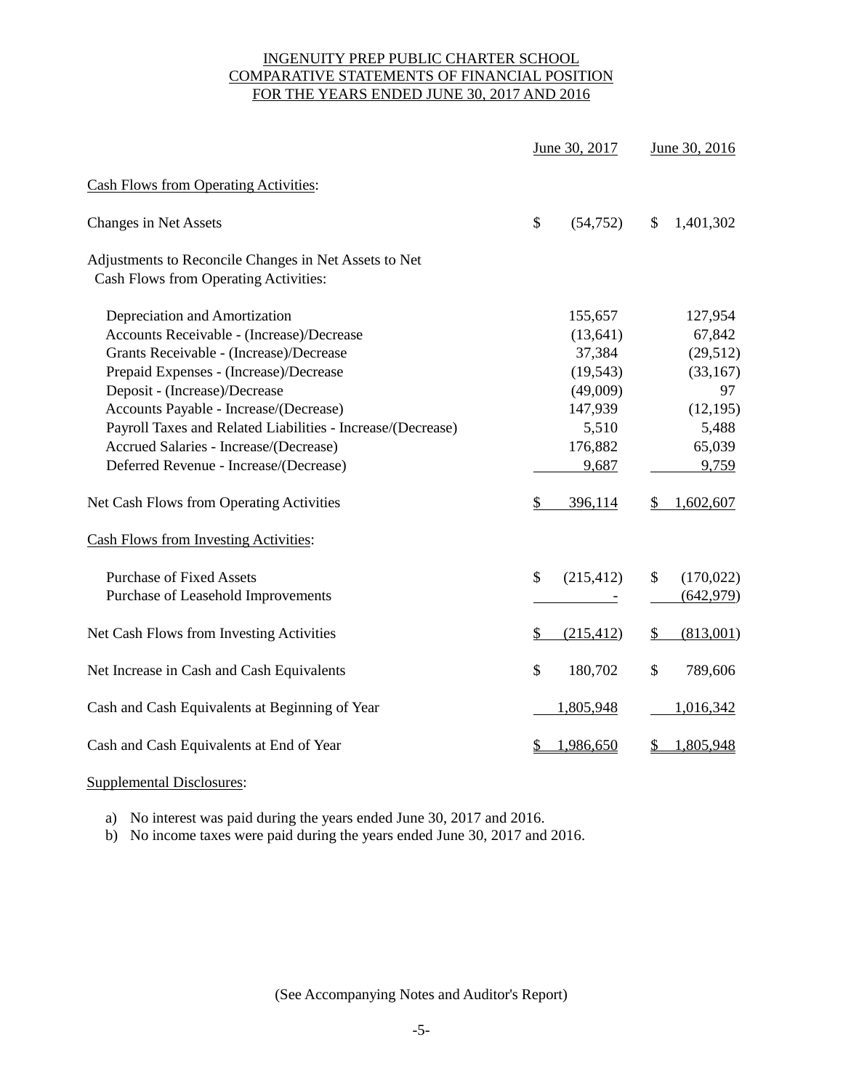# INGENUITY PREP PUBLIC CHARTER SCHOOL COMPARATIVE STATEMENTS OF FINANCIAL POSITION FOR THE YEARS ENDED JUNE 30, 2017 AND 2016

|                                                             | June 30, 2017    | June 30, 2016    |
|-------------------------------------------------------------|------------------|------------------|
| <b>Cash Flows from Operating Activities:</b>                |                  |                  |
| <b>Changes in Net Assets</b>                                | \$<br>(54, 752)  | 1,401,302<br>\$  |
| Adjustments to Reconcile Changes in Net Assets to Net       |                  |                  |
| Cash Flows from Operating Activities:                       |                  |                  |
| Depreciation and Amortization                               | 155,657          | 127,954          |
| Accounts Receivable - (Increase)/Decrease                   | (13, 641)        | 67,842           |
| Grants Receivable - (Increase)/Decrease                     | 37,384           | (29, 512)        |
| Prepaid Expenses - (Increase)/Decrease                      | (19, 543)        | (33, 167)        |
| Deposit - (Increase)/Decrease                               | (49,009)         | 97               |
| Accounts Payable - Increase/(Decrease)                      | 147,939          | (12, 195)        |
| Payroll Taxes and Related Liabilities - Increase/(Decrease) | 5,510            | 5,488            |
| Accrued Salaries - Increase/(Decrease)                      | 176,882          | 65,039           |
| Deferred Revenue - Increase/(Decrease)                      | 9,687            | 9,759            |
| Net Cash Flows from Operating Activities                    | \$<br>396,114    | 1,602,607<br>\$  |
| <b>Cash Flows from Investing Activities:</b>                |                  |                  |
| <b>Purchase of Fixed Assets</b>                             | \$<br>(215, 412) | \$<br>(170, 022) |
| Purchase of Leasehold Improvements                          |                  | (642, 979)       |
| Net Cash Flows from Investing Activities                    | (215, 412)<br>\$ | (813,001)<br>\$  |
| Net Increase in Cash and Cash Equivalents                   | \$<br>180,702    | \$<br>789,606    |
| Cash and Cash Equivalents at Beginning of Year              | 1,805,948        | 1,016,342        |
| Cash and Cash Equivalents at End of Year                    | 1,986,650        | 1,805,948        |

# Supplemental Disclosures:

- a) No interest was paid during the years ended June 30, 2017 and 2016.
- b) No income taxes were paid during the years ended June 30, 2017 and 2016.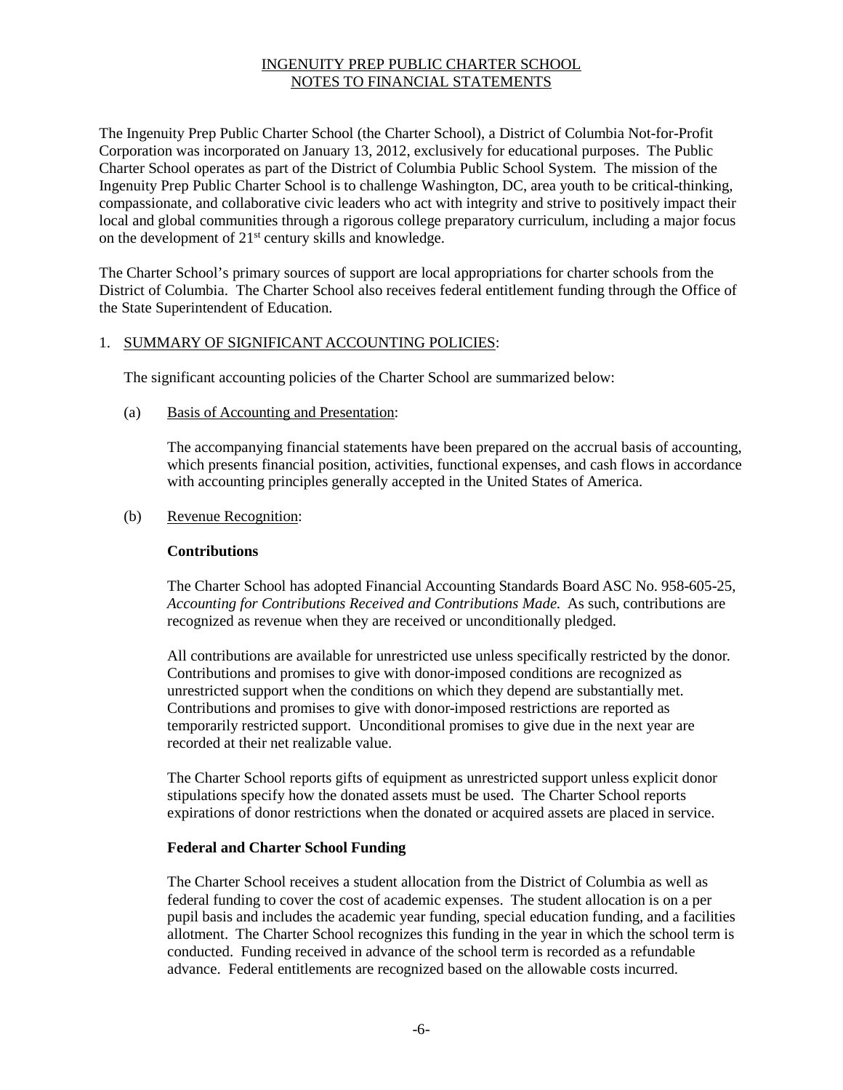The Ingenuity Prep Public Charter School (the Charter School), a District of Columbia Not-for-Profit Corporation was incorporated on January 13, 2012, exclusively for educational purposes. The Public Charter School operates as part of the District of Columbia Public School System. The mission of the Ingenuity Prep Public Charter School is to challenge Washington, DC, area youth to be critical-thinking, compassionate, and collaborative civic leaders who act with integrity and strive to positively impact their local and global communities through a rigorous college preparatory curriculum, including a major focus on the development of  $21<sup>st</sup>$  century skills and knowledge.

The Charter School's primary sources of support are local appropriations for charter schools from the District of Columbia. The Charter School also receives federal entitlement funding through the Office of the State Superintendent of Education.

#### 1. SUMMARY OF SIGNIFICANT ACCOUNTING POLICIES:

The significant accounting policies of the Charter School are summarized below:

(a) Basis of Accounting and Presentation:

The accompanying financial statements have been prepared on the accrual basis of accounting, which presents financial position, activities, functional expenses, and cash flows in accordance with accounting principles generally accepted in the United States of America.

(b) Revenue Recognition:

#### **Contributions**

The Charter School has adopted Financial Accounting Standards Board ASC No. 958-605-25, *Accounting for Contributions Received and Contributions Made.* As such, contributions are recognized as revenue when they are received or unconditionally pledged.

All contributions are available for unrestricted use unless specifically restricted by the donor. Contributions and promises to give with donor-imposed conditions are recognized as unrestricted support when the conditions on which they depend are substantially met. Contributions and promises to give with donor-imposed restrictions are reported as temporarily restricted support. Unconditional promises to give due in the next year are recorded at their net realizable value.

The Charter School reports gifts of equipment as unrestricted support unless explicit donor stipulations specify how the donated assets must be used. The Charter School reports expirations of donor restrictions when the donated or acquired assets are placed in service.

#### **Federal and Charter School Funding**

The Charter School receives a student allocation from the District of Columbia as well as federal funding to cover the cost of academic expenses. The student allocation is on a per pupil basis and includes the academic year funding, special education funding, and a facilities allotment. The Charter School recognizes this funding in the year in which the school term is conducted. Funding received in advance of the school term is recorded as a refundable advance. Federal entitlements are recognized based on the allowable costs incurred.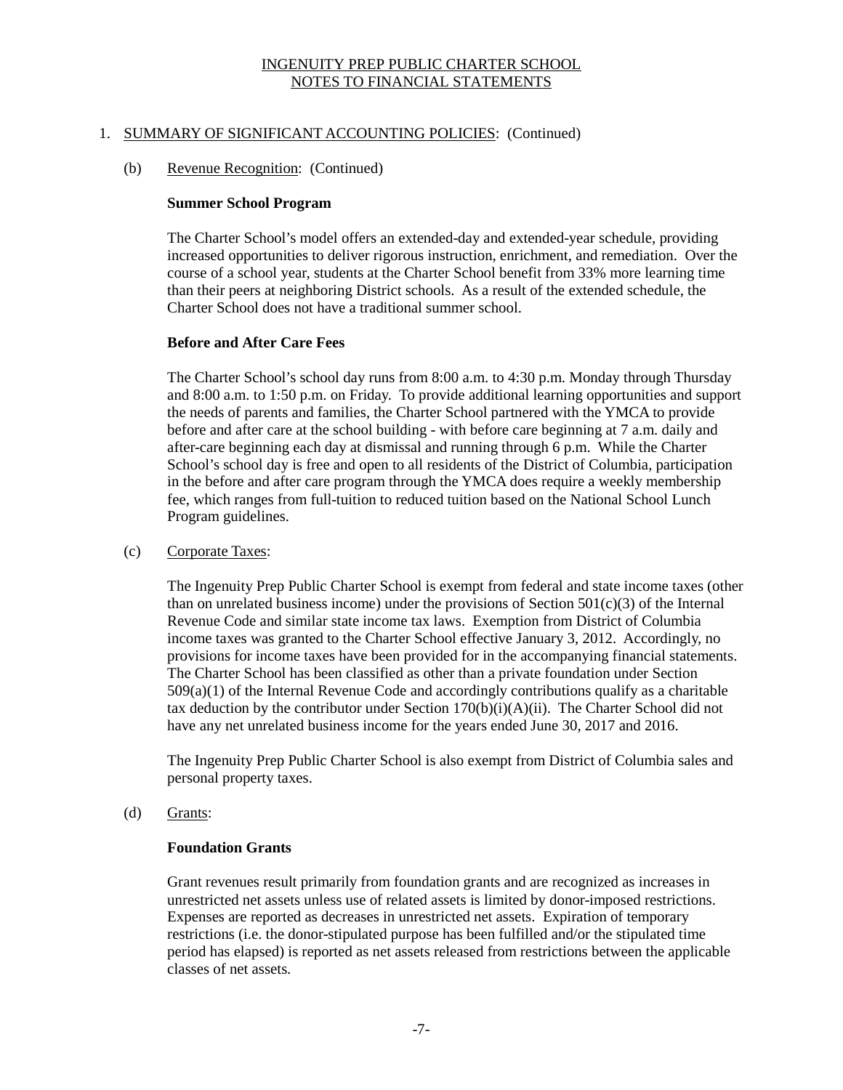# 1. SUMMARY OF SIGNIFICANT ACCOUNTING POLICIES: (Continued)

#### (b) Revenue Recognition: (Continued)

#### **Summer School Program**

The Charter School's model offers an extended-day and extended-year schedule, providing increased opportunities to deliver rigorous instruction, enrichment, and remediation. Over the course of a school year, students at the Charter School benefit from 33% more learning time than their peers at neighboring District schools. As a result of the extended schedule, the Charter School does not have a traditional summer school.

#### **Before and After Care Fees**

The Charter School's school day runs from 8:00 a.m. to 4:30 p.m. Monday through Thursday and 8:00 a.m. to 1:50 p.m. on Friday. To provide additional learning opportunities and support the needs of parents and families, the Charter School partnered with the YMCA to provide before and after care at the school building - with before care beginning at 7 a.m. daily and after-care beginning each day at dismissal and running through 6 p.m. While the Charter School's school day is free and open to all residents of the District of Columbia, participation in the before and after care program through the YMCA does require a weekly membership fee, which ranges from full-tuition to reduced tuition based on the National School Lunch Program guidelines.

#### (c) Corporate Taxes:

The Ingenuity Prep Public Charter School is exempt from federal and state income taxes (other than on unrelated business income) under the provisions of Section  $501(c)(3)$  of the Internal Revenue Code and similar state income tax laws. Exemption from District of Columbia income taxes was granted to the Charter School effective January 3, 2012. Accordingly, no provisions for income taxes have been provided for in the accompanying financial statements. The Charter School has been classified as other than a private foundation under Section  $509(a)(1)$  of the Internal Revenue Code and accordingly contributions qualify as a charitable tax deduction by the contributor under Section  $170(b)(i)(A)(ii)$ . The Charter School did not have any net unrelated business income for the years ended June 30, 2017 and 2016.

The Ingenuity Prep Public Charter School is also exempt from District of Columbia sales and personal property taxes.

#### (d) Grants:

#### **Foundation Grants**

Grant revenues result primarily from foundation grants and are recognized as increases in unrestricted net assets unless use of related assets is limited by donor-imposed restrictions. Expenses are reported as decreases in unrestricted net assets. Expiration of temporary restrictions (i.e. the donor-stipulated purpose has been fulfilled and/or the stipulated time period has elapsed) is reported as net assets released from restrictions between the applicable classes of net assets.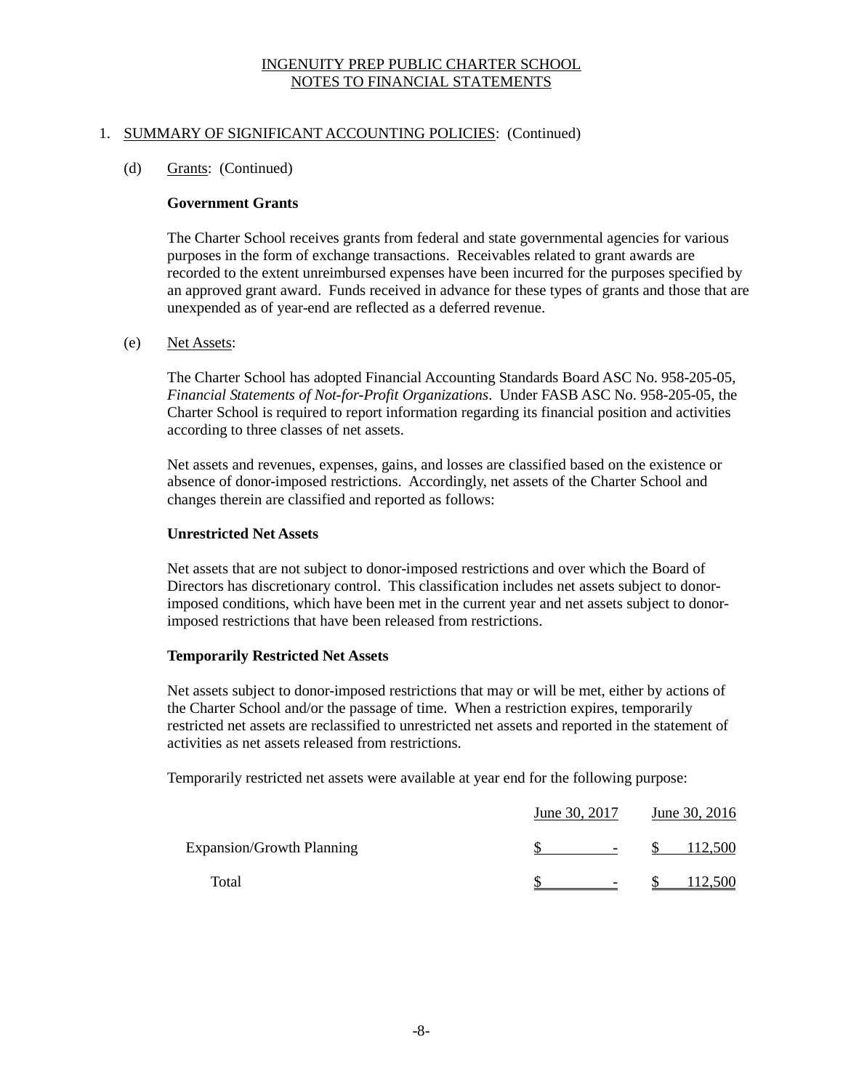# 1. SUMMARY OF SIGNIFICANT ACCOUNTING POLICIES: (Continued)

#### (d) Grants: (Continued)

#### **Government Grants**

The Charter School receives grants from federal and state governmental agencies for various purposes in the form of exchange transactions. Receivables related to grant awards are recorded to the extent unreimbursed expenses have been incurred for the purposes specified by an approved grant award. Funds received in advance for these types of grants and those that are unexpended as of year-end are reflected as a deferred revenue.

#### (e) Net Assets:

The Charter School has adopted Financial Accounting Standards Board ASC No. 958-205-05, *Financial Statements of Not-for-Profit Organizations*. Under FASB ASC No. 958-205-05, the Charter School is required to report information regarding its financial position and activities according to three classes of net assets.

Net assets and revenues, expenses, gains, and losses are classified based on the existence or absence of donor-imposed restrictions. Accordingly, net assets of the Charter School and changes therein are classified and reported as follows:

#### **Unrestricted Net Assets**

Net assets that are not subject to donor-imposed restrictions and over which the Board of Directors has discretionary control. This classification includes net assets subject to donorimposed conditions, which have been met in the current year and net assets subject to donorimposed restrictions that have been released from restrictions.

#### **Temporarily Restricted Net Assets**

Net assets subject to donor-imposed restrictions that may or will be met, either by actions of the Charter School and/or the passage of time. When a restriction expires, temporarily restricted net assets are reclassified to unrestricted net assets and reported in the statement of activities as net assets released from restrictions.

Temporarily restricted net assets were available at year end for the following purpose:

|                                  | June 30, 2017            | June 30, 2016 |  |  |
|----------------------------------|--------------------------|---------------|--|--|
| <b>Expansion/Growth Planning</b> | $\overline{\phantom{a}}$ | 112,500       |  |  |
| Total                            | $\overline{\phantom{0}}$ | 112,500       |  |  |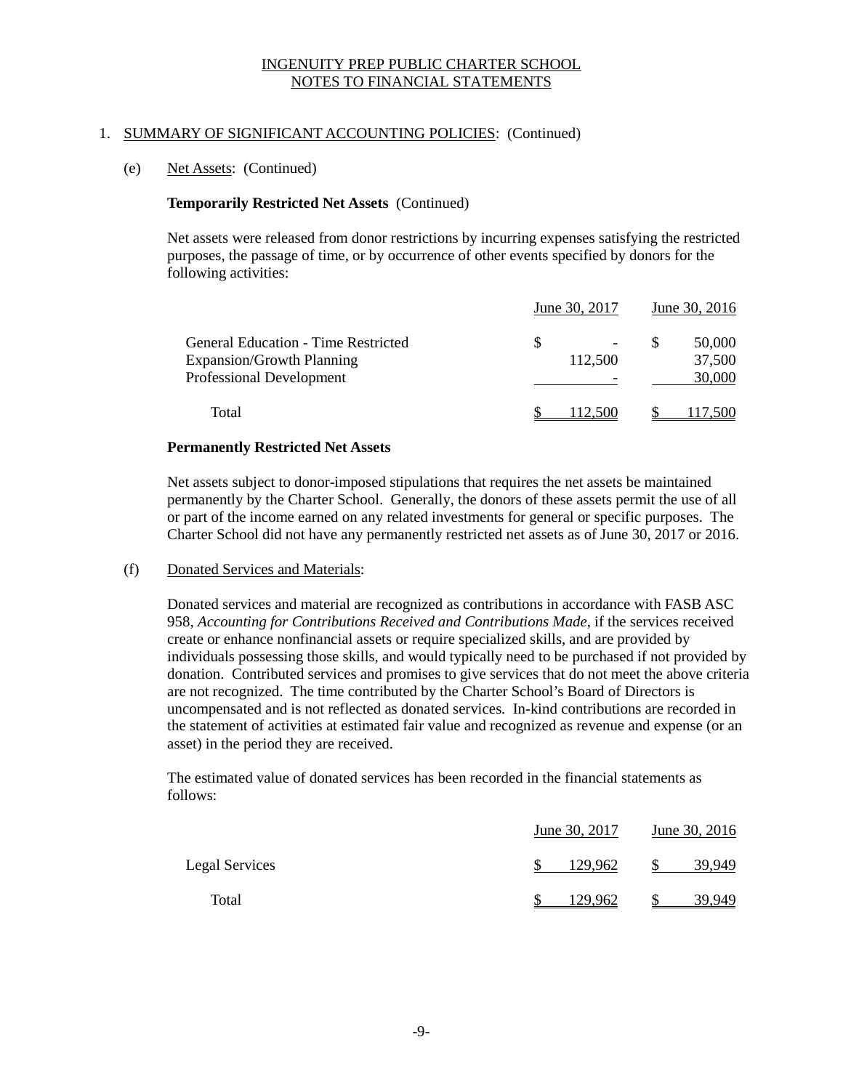# 1. SUMMARY OF SIGNIFICANT ACCOUNTING POLICIES: (Continued)

(e) Net Assets: (Continued)

#### **Temporarily Restricted Net Assets** (Continued)

Net assets were released from donor restrictions by incurring expenses satisfying the restricted purposes, the passage of time, or by occurrence of other events specified by donors for the following activities:

|                                                                                                     | June 30, 2017<br>June 30, 2016 |                            |  |  |  |
|-----------------------------------------------------------------------------------------------------|--------------------------------|----------------------------|--|--|--|
| <b>General Education - Time Restricted</b><br>Expansion/Growth Planning<br>Professional Development | \$.<br>112,500                 | 50,000<br>37,500<br>30,000 |  |  |  |
| Total                                                                                               | 112,500                        | 117,500                    |  |  |  |

#### **Permanently Restricted Net Assets**

Net assets subject to donor-imposed stipulations that requires the net assets be maintained permanently by the Charter School. Generally, the donors of these assets permit the use of all or part of the income earned on any related investments for general or specific purposes. The Charter School did not have any permanently restricted net assets as of June 30, 2017 or 2016.

#### (f) Donated Services and Materials:

Donated services and material are recognized as contributions in accordance with FASB ASC 958, *Accounting for Contributions Received and Contributions Made*, if the services received create or enhance nonfinancial assets or require specialized skills, and are provided by individuals possessing those skills, and would typically need to be purchased if not provided by donation. Contributed services and promises to give services that do not meet the above criteria are not recognized. The time contributed by the Charter School's Board of Directors is uncompensated and is not reflected as donated services. In-kind contributions are recorded in the statement of activities at estimated fair value and recognized as revenue and expense (or an asset) in the period they are received.

The estimated value of donated services has been recorded in the financial statements as follows:

|                       | June 30, 2017<br>June 30, 2016 |         |  |        |
|-----------------------|--------------------------------|---------|--|--------|
| <b>Legal Services</b> |                                | 129.962 |  | 39.949 |
| Total                 |                                | 129.962 |  | 39.949 |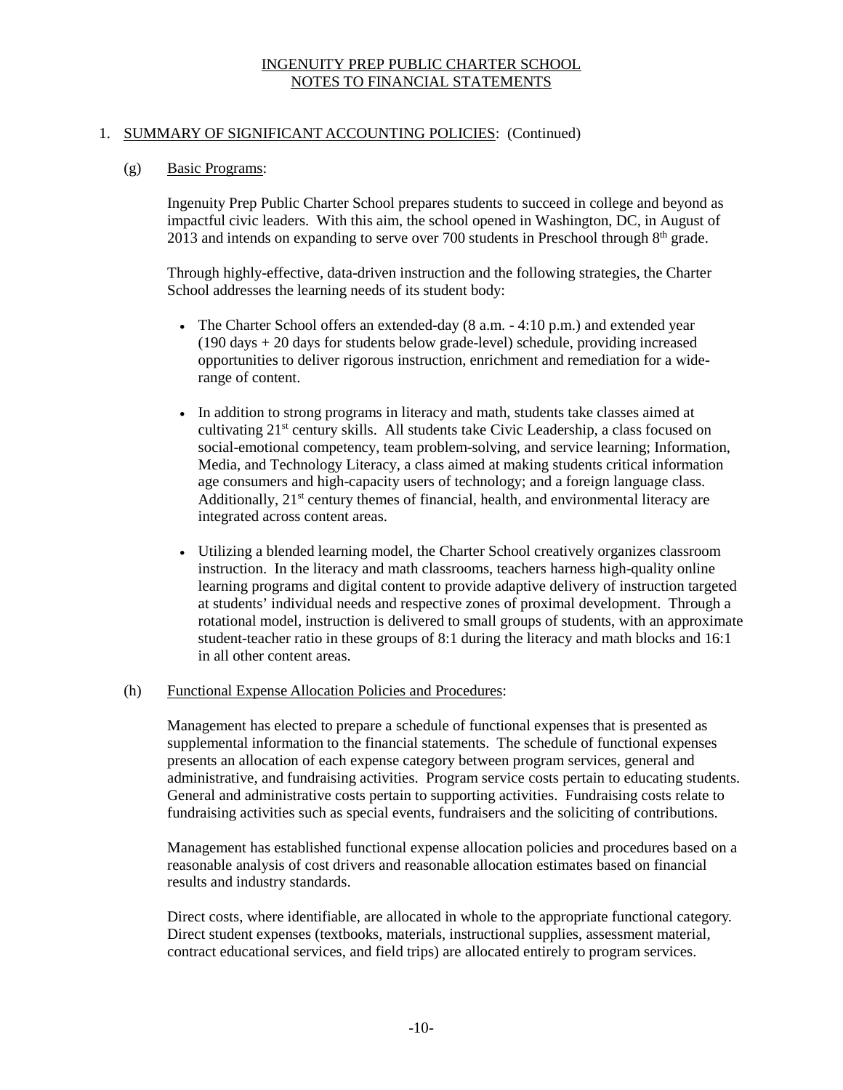# 1. SUMMARY OF SIGNIFICANT ACCOUNTING POLICIES: (Continued)

#### (g) Basic Programs:

Ingenuity Prep Public Charter School prepares students to succeed in college and beyond as impactful civic leaders. With this aim, the school opened in Washington, DC, in August of 2013 and intends on expanding to serve over 700 students in Preschool through  $8<sup>th</sup>$  grade.

Through highly-effective, data-driven instruction and the following strategies, the Charter School addresses the learning needs of its student body:

- The Charter School offers an extended-day (8 a.m. 4:10 p.m.) and extended year (190 days + 20 days for students below grade-level) schedule, providing increased opportunities to deliver rigorous instruction, enrichment and remediation for a widerange of content.
- In addition to strong programs in literacy and math, students take classes aimed at cultivating 21<sup>st</sup> century skills. All students take Civic Leadership, a class focused on social-emotional competency, team problem-solving, and service learning; Information, Media, and Technology Literacy, a class aimed at making students critical information age consumers and high-capacity users of technology; and a foreign language class. Additionally, 21<sup>st</sup> century themes of financial, health, and environmental literacy are integrated across content areas.
- Utilizing a blended learning model, the Charter School creatively organizes classroom instruction. In the literacy and math classrooms, teachers harness high-quality online learning programs and digital content to provide adaptive delivery of instruction targeted at students' individual needs and respective zones of proximal development. Through a rotational model, instruction is delivered to small groups of students, with an approximate student-teacher ratio in these groups of 8:1 during the literacy and math blocks and 16:1 in all other content areas.

#### (h) Functional Expense Allocation Policies and Procedures:

Management has elected to prepare a schedule of functional expenses that is presented as supplemental information to the financial statements. The schedule of functional expenses presents an allocation of each expense category between program services, general and administrative, and fundraising activities. Program service costs pertain to educating students. General and administrative costs pertain to supporting activities. Fundraising costs relate to fundraising activities such as special events, fundraisers and the soliciting of contributions.

Management has established functional expense allocation policies and procedures based on a reasonable analysis of cost drivers and reasonable allocation estimates based on financial results and industry standards.

Direct costs, where identifiable, are allocated in whole to the appropriate functional category. Direct student expenses (textbooks, materials, instructional supplies, assessment material, contract educational services, and field trips) are allocated entirely to program services.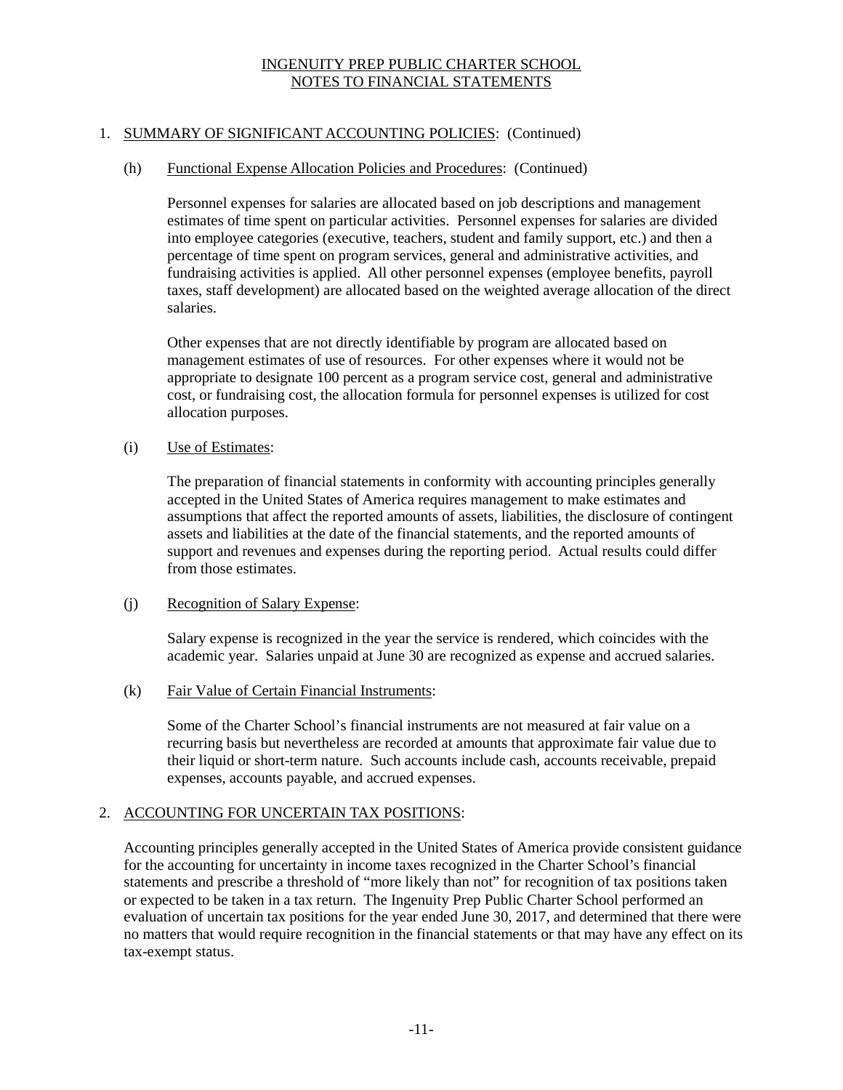# 1. SUMMARY OF SIGNIFICANT ACCOUNTING POLICIES: (Continued)

#### (h) Functional Expense Allocation Policies and Procedures: (Continued)

Personnel expenses for salaries are allocated based on job descriptions and management estimates of time spent on particular activities. Personnel expenses for salaries are divided into employee categories (executive, teachers, student and family support, etc.) and then a percentage of time spent on program services, general and administrative activities, and fundraising activities is applied. All other personnel expenses (employee benefits, payroll taxes, staff development) are allocated based on the weighted average allocation of the direct salaries.

Other expenses that are not directly identifiable by program are allocated based on management estimates of use of resources. For other expenses where it would not be appropriate to designate 100 percent as a program service cost, general and administrative cost, or fundraising cost, the allocation formula for personnel expenses is utilized for cost allocation purposes.

#### (i) Use of Estimates:

The preparation of financial statements in conformity with accounting principles generally accepted in the United States of America requires management to make estimates and assumptions that affect the reported amounts of assets, liabilities, the disclosure of contingent assets and liabilities at the date of the financial statements, and the reported amounts of support and revenues and expenses during the reporting period. Actual results could differ from those estimates.

#### (j) Recognition of Salary Expense:

Salary expense is recognized in the year the service is rendered, which coincides with the academic year. Salaries unpaid at June 30 are recognized as expense and accrued salaries.

#### (k) Fair Value of Certain Financial Instruments:

Some of the Charter School's financial instruments are not measured at fair value on a recurring basis but nevertheless are recorded at amounts that approximate fair value due to their liquid or short-term nature. Such accounts include cash, accounts receivable, prepaid expenses, accounts payable, and accrued expenses.

#### 2. ACCOUNTING FOR UNCERTAIN TAX POSITIONS:

Accounting principles generally accepted in the United States of America provide consistent guidance for the accounting for uncertainty in income taxes recognized in the Charter School's financial statements and prescribe a threshold of "more likely than not" for recognition of tax positions taken or expected to be taken in a tax return. The Ingenuity Prep Public Charter School performed an evaluation of uncertain tax positions for the year ended June 30, 2017, and determined that there were no matters that would require recognition in the financial statements or that may have any effect on its tax-exempt status.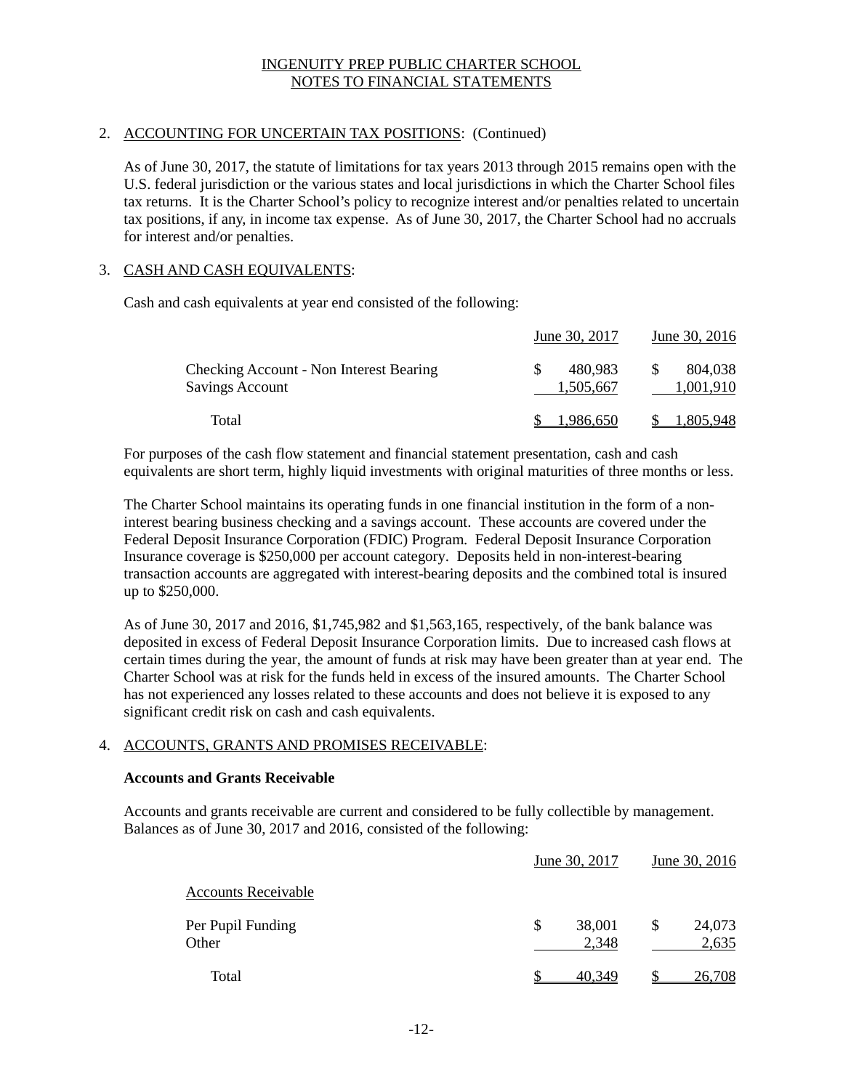### 2. ACCOUNTING FOR UNCERTAIN TAX POSITIONS: (Continued)

As of June 30, 2017, the statute of limitations for tax years 2013 through 2015 remains open with the U.S. federal jurisdiction or the various states and local jurisdictions in which the Charter School files tax returns. It is the Charter School's policy to recognize interest and/or penalties related to uncertain tax positions, if any, in income tax expense. As of June 30, 2017, the Charter School had no accruals for interest and/or penalties.

#### 3. CASH AND CASH EQUIVALENTS:

Cash and cash equivalents at year end consisted of the following:

|                                                                   | June 30, 2017        | June 30, 2016        |  |  |
|-------------------------------------------------------------------|----------------------|----------------------|--|--|
| Checking Account - Non Interest Bearing<br><b>Savings Account</b> | 480.983<br>1.505.667 | 804.038<br>1.001.910 |  |  |
| Total                                                             | .986.650             | .805.948             |  |  |

For purposes of the cash flow statement and financial statement presentation, cash and cash equivalents are short term, highly liquid investments with original maturities of three months or less.

The Charter School maintains its operating funds in one financial institution in the form of a noninterest bearing business checking and a savings account. These accounts are covered under the Federal Deposit Insurance Corporation (FDIC) Program. Federal Deposit Insurance Corporation Insurance coverage is \$250,000 per account category. Deposits held in non-interest-bearing transaction accounts are aggregated with interest-bearing deposits and the combined total is insured up to \$250,000.

As of June 30, 2017 and 2016, \$1,745,982 and \$1,563,165, respectively, of the bank balance was deposited in excess of Federal Deposit Insurance Corporation limits. Due to increased cash flows at certain times during the year, the amount of funds at risk may have been greater than at year end. The Charter School was at risk for the funds held in excess of the insured amounts. The Charter School has not experienced any losses related to these accounts and does not believe it is exposed to any significant credit risk on cash and cash equivalents.

#### 4. ACCOUNTS, GRANTS AND PROMISES RECEIVABLE:

#### **Accounts and Grants Receivable**

Accounts and grants receivable are current and considered to be fully collectible by management. Balances as of June 30, 2017 and 2016, consisted of the following:

|                            | June 30, 2017         | June 30, 2016        |  |  |
|----------------------------|-----------------------|----------------------|--|--|
| <b>Accounts Receivable</b> |                       |                      |  |  |
| Per Pupil Funding<br>Other | 38,001<br>\$<br>2,348 | S<br>24,073<br>2,635 |  |  |
| Total                      | 40.349                | 26.708               |  |  |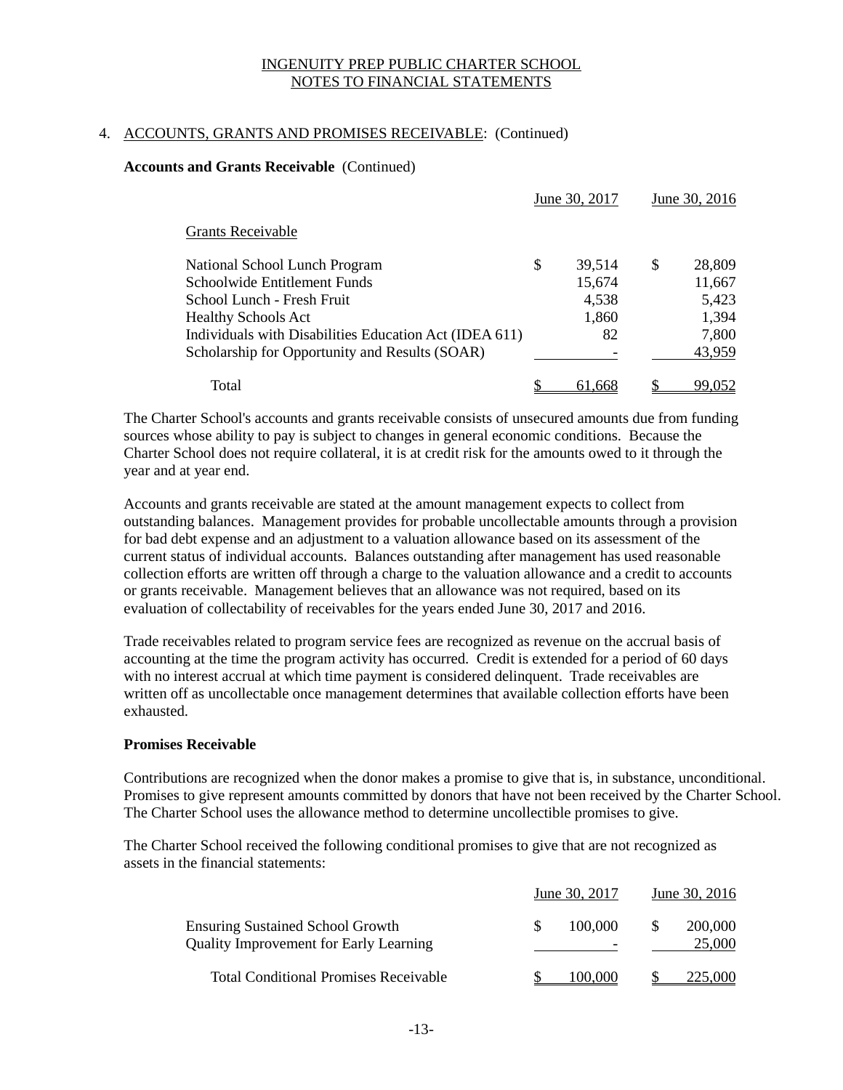# 4. ACCOUNTS, GRANTS AND PROMISES RECEIVABLE: (Continued)

#### **Accounts and Grants Receivable** (Continued)

|                                                        |   | June 30, 2017 | <u>June 30, 2016</u> |        |
|--------------------------------------------------------|---|---------------|----------------------|--------|
| <b>Grants Receivable</b>                               |   |               |                      |        |
| National School Lunch Program                          | S | 39,514        | S                    | 28,809 |
| Schoolwide Entitlement Funds                           |   | 15,674        |                      | 11,667 |
| School Lunch - Fresh Fruit                             |   | 4,538         |                      | 5,423  |
| <b>Healthy Schools Act</b>                             |   | 1,860         |                      | 1,394  |
| Individuals with Disabilities Education Act (IDEA 611) |   | 82            |                      | 7,800  |
| Scholarship for Opportunity and Results (SOAR)         |   |               |                      | 43,959 |
| Total                                                  |   | 61.668        |                      | 99.052 |

The Charter School's accounts and grants receivable consists of unsecured amounts due from funding sources whose ability to pay is subject to changes in general economic conditions. Because the Charter School does not require collateral, it is at credit risk for the amounts owed to it through the year and at year end.

Accounts and grants receivable are stated at the amount management expects to collect from outstanding balances. Management provides for probable uncollectable amounts through a provision for bad debt expense and an adjustment to a valuation allowance based on its assessment of the current status of individual accounts. Balances outstanding after management has used reasonable collection efforts are written off through a charge to the valuation allowance and a credit to accounts or grants receivable. Management believes that an allowance was not required, based on its evaluation of collectability of receivables for the years ended June 30, 2017 and 2016.

Trade receivables related to program service fees are recognized as revenue on the accrual basis of accounting at the time the program activity has occurred. Credit is extended for a period of 60 days with no interest accrual at which time payment is considered delinquent. Trade receivables are written off as uncollectable once management determines that available collection efforts have been exhausted.

#### **Promises Receivable**

Contributions are recognized when the donor makes a promise to give that is, in substance, unconditional. Promises to give represent amounts committed by donors that have not been received by the Charter School. The Charter School uses the allowance method to determine uncollectible promises to give.

The Charter School received the following conditional promises to give that are not recognized as assets in the financial statements:

|                                                                                          |  | June 30, 2017 | June 30, 2016 |                   |  |
|------------------------------------------------------------------------------------------|--|---------------|---------------|-------------------|--|
| <b>Ensuring Sustained School Growth</b><br><b>Quality Improvement for Early Learning</b> |  | 100,000       | -S            | 200,000<br>25,000 |  |
| <b>Total Conditional Promises Receivable</b>                                             |  | 100.000       |               | 225.000           |  |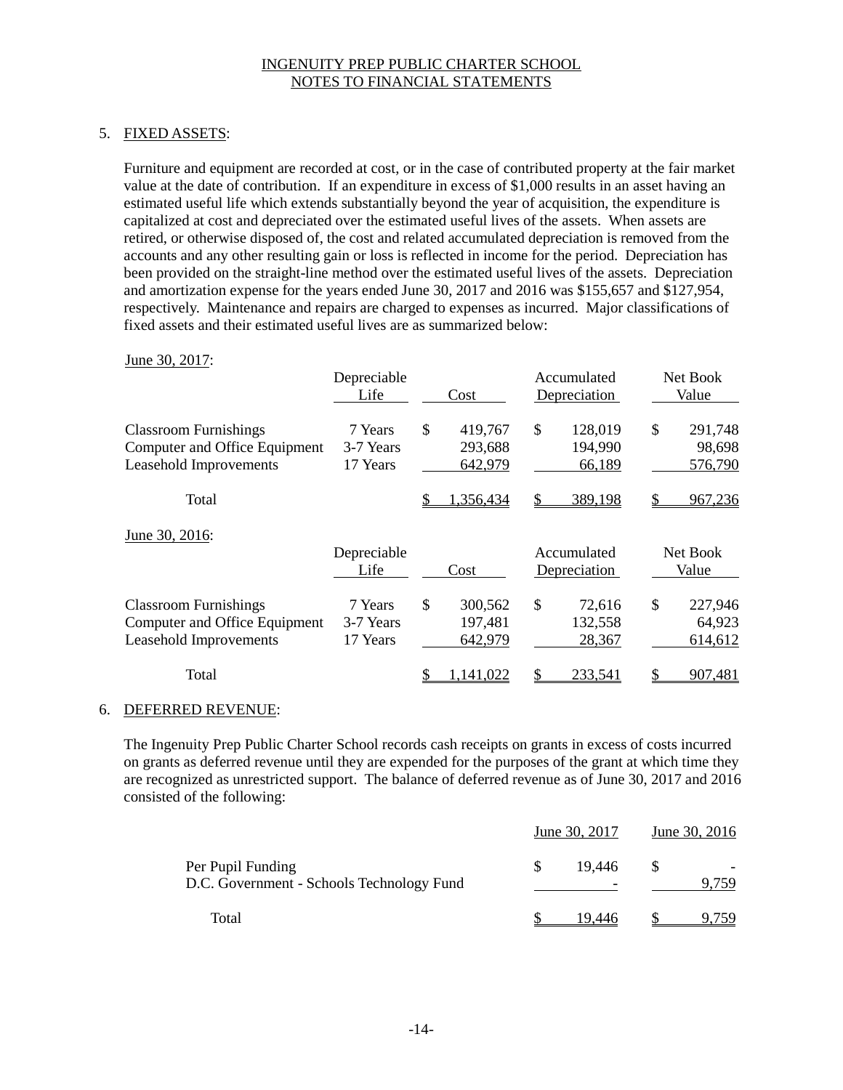# 5. FIXED ASSETS:

Furniture and equipment are recorded at cost, or in the case of contributed property at the fair market value at the date of contribution. If an expenditure in excess of \$1,000 results in an asset having an estimated useful life which extends substantially beyond the year of acquisition, the expenditure is capitalized at cost and depreciated over the estimated useful lives of the assets. When assets are retired, or otherwise disposed of, the cost and related accumulated depreciation is removed from the accounts and any other resulting gain or loss is reflected in income for the period. Depreciation has been provided on the straight-line method over the estimated useful lives of the assets. Depreciation and amortization expense for the years ended June 30, 2017 and 2016 was \$155,657 and \$127,954, respectively. Maintenance and repairs are charged to expenses as incurred. Major classifications of fixed assets and their estimated useful lives are as summarized below:

| June 30, 2017:                |             |              |           |    |              |    |          |
|-------------------------------|-------------|--------------|-----------|----|--------------|----|----------|
|                               | Depreciable |              |           |    | Accumulated  |    | Net Book |
|                               | Life        |              | Cost      |    | Depreciation |    | Value    |
| <b>Classroom Furnishings</b>  | 7 Years     | $\mathbb{S}$ | 419,767   | \$ | 128,019      | \$ | 291,748  |
| Computer and Office Equipment | 3-7 Years   |              | 293,688   |    | 194,990      |    | 98,698   |
| Leasehold Improvements        | 17 Years    |              | 642,979   |    | 66,189       |    | 576,790  |
| Total                         |             |              | 1,356,434 | \$ | 389,198      | S  | 967,236  |
| June 30, 2016:                |             |              |           |    |              |    |          |
|                               | Depreciable |              |           |    | Accumulated  |    | Net Book |
|                               | Life        |              | Cost      |    | Depreciation |    | Value    |
| <b>Classroom Furnishings</b>  | 7 Years     | \$           | 300,562   | \$ | 72,616       | \$ | 227,946  |
| Computer and Office Equipment | 3-7 Years   |              | 197,481   |    | 132,558      |    | 64,923   |
| Leasehold Improvements        | 17 Years    |              | 642,979   |    | 28,367       |    | 614,612  |
| Total                         |             |              | 1,141,022 | S  | 233,541      | S  | 907,481  |

#### 6. DEFERRED REVENUE:

The Ingenuity Prep Public Charter School records cash receipts on grants in excess of costs incurred on grants as deferred revenue until they are expended for the purposes of the grant at which time they are recognized as unrestricted support. The balance of deferred revenue as of June 30, 2017 and 2016 consisted of the following:

|                                                                | June 30, 2017 | June 30, 2016 |
|----------------------------------------------------------------|---------------|---------------|
| Per Pupil Funding<br>D.C. Government - Schools Technology Fund | 19.446<br>-   | .759          |
| Total                                                          | 19.446        | 9.759         |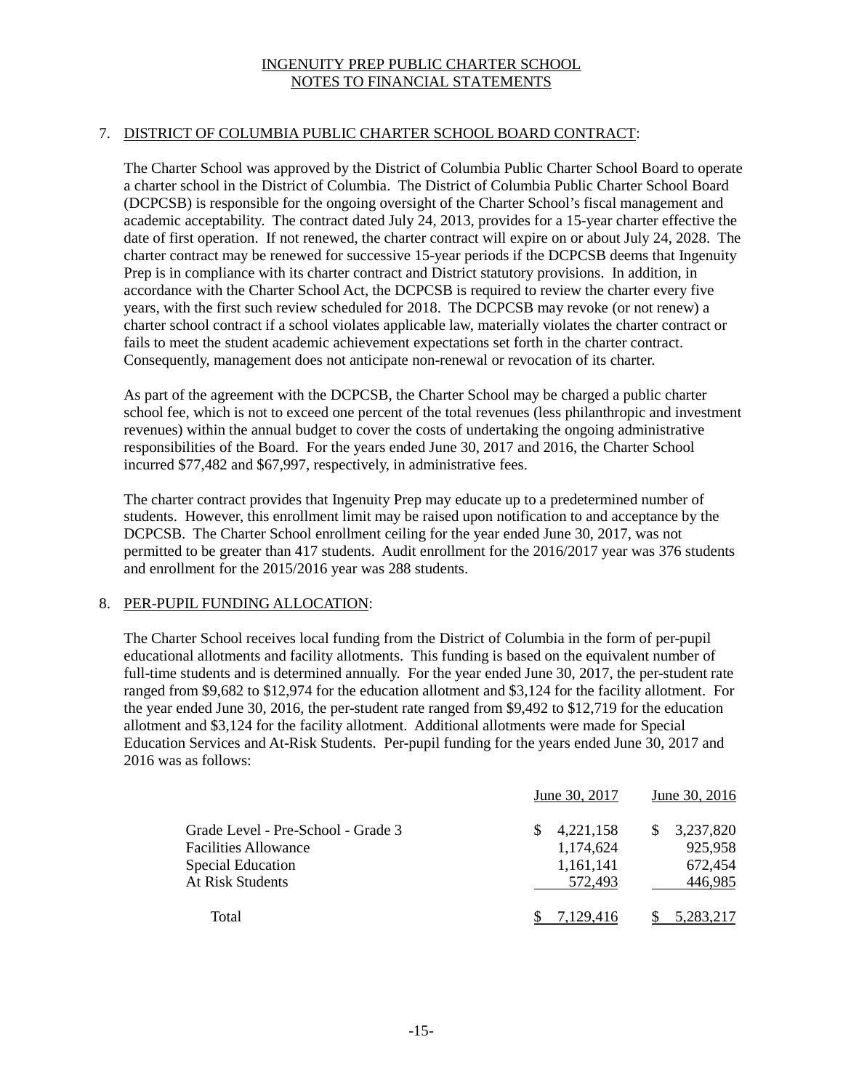## 7. DISTRICT OF COLUMBIA PUBLIC CHARTER SCHOOL BOARD CONTRACT:

The Charter School was approved by the District of Columbia Public Charter School Board to operate a charter school in the District of Columbia. The District of Columbia Public Charter School Board (DCPCSB) is responsible for the ongoing oversight of the Charter School's fiscal management and academic acceptability. The contract dated July 24, 2013, provides for a 15-year charter effective the date of first operation. If not renewed, the charter contract will expire on or about July 24, 2028. The charter contract may be renewed for successive 15-year periods if the DCPCSB deems that Ingenuity Prep is in compliance with its charter contract and District statutory provisions. In addition, in accordance with the Charter School Act, the DCPCSB is required to review the charter every five years, with the first such review scheduled for 2018. The DCPCSB may revoke (or not renew) a charter school contract if a school violates applicable law, materially violates the charter contract or fails to meet the student academic achievement expectations set forth in the charter contract. Consequently, management does not anticipate non-renewal or revocation of its charter.

As part of the agreement with the DCPCSB, the Charter School may be charged a public charter school fee, which is not to exceed one percent of the total revenues (less philanthropic and investment revenues) within the annual budget to cover the costs of undertaking the ongoing administrative responsibilities of the Board. For the years ended June 30, 2017 and 2016, the Charter School incurred \$77,482 and \$67,997, respectively, in administrative fees.

The charter contract provides that Ingenuity Prep may educate up to a predetermined number of students. However, this enrollment limit may be raised upon notification to and acceptance by the DCPCSB. The Charter School enrollment ceiling for the year ended June 30, 2017, was not permitted to be greater than 417 students. Audit enrollment for the 2016/2017 year was 376 students and enrollment for the 2015/2016 year was 288 students.

#### 8. PER-PUPIL FUNDING ALLOCATION:

The Charter School receives local funding from the District of Columbia in the form of per-pupil educational allotments and facility allotments. This funding is based on the equivalent number of full-time students and is determined annually. For the year ended June 30, 2017, the per-student rate ranged from \$9,682 to \$12,974 for the education allotment and \$3,124 for the facility allotment. For the year ended June 30, 2016, the per-student rate ranged from \$9,492 to \$12,719 for the education allotment and \$3,124 for the facility allotment. Additional allotments were made for Special Education Services and At-Risk Students. Per-pupil funding for the years ended June 30, 2017 and 2016 was as follows:

|                                    | June 30, 2017 | June 30, 2016 |
|------------------------------------|---------------|---------------|
| Grade Level - Pre-School - Grade 3 | 4,221,158     | 3,237,820     |
| <b>Facilities Allowance</b>        | 1,174,624     | 925,958       |
| Special Education                  | 1,161,141     | 672,454       |
| <b>At Risk Students</b>            | 572.493       | 446,985       |
| Total                              | 7.129,416     | 5.283.217     |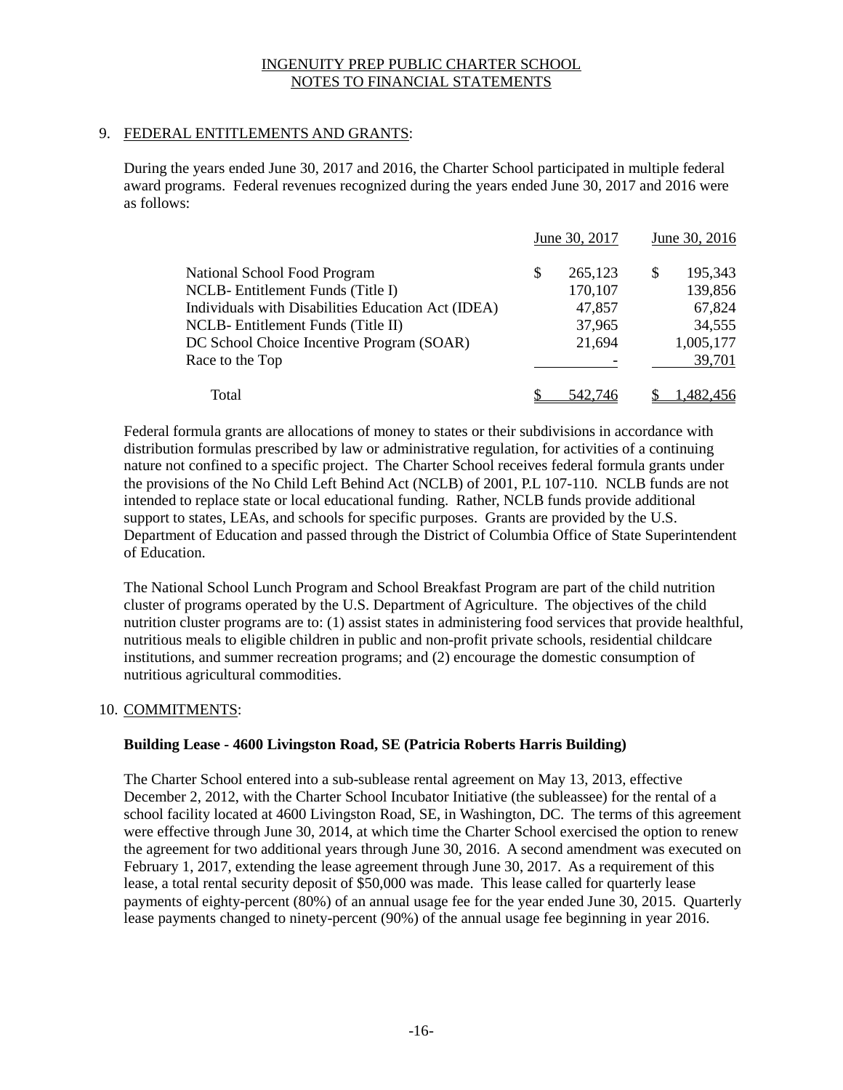### 9. FEDERAL ENTITLEMENTS AND GRANTS:

During the years ended June 30, 2017 and 2016, the Charter School participated in multiple federal award programs. Federal revenues recognized during the years ended June 30, 2017 and 2016 were as follows:

|                                                                  | June 30, 2017            |   | June 30, 2016       |
|------------------------------------------------------------------|--------------------------|---|---------------------|
| National School Food Program<br>NCLB-Entitlement Funds (Title I) | \$<br>265,123<br>170,107 | S | 195,343<br>139,856  |
| Individuals with Disabilities Education Act (IDEA)               | 47,857                   |   | 67,824              |
| NCLB-Entitlement Funds (Title II)                                | 37,965                   |   | 34,555              |
| DC School Choice Incentive Program (SOAR)<br>Race to the Top     | 21,694                   |   | 1,005,177<br>39,701 |
| Total                                                            |                          |   |                     |

Federal formula grants are allocations of money to states or their subdivisions in accordance with distribution formulas prescribed by law or administrative regulation, for activities of a continuing nature not confined to a specific project. The Charter School receives federal formula grants under the provisions of the No Child Left Behind Act (NCLB) of 2001, P.L 107-110. NCLB funds are not intended to replace state or local educational funding. Rather, NCLB funds provide additional support to states, LEAs, and schools for specific purposes. Grants are provided by the U.S. Department of Education and passed through the District of Columbia Office of State Superintendent of Education.

The National School Lunch Program and School Breakfast Program are part of the child nutrition cluster of programs operated by the U.S. Department of Agriculture. The objectives of the child nutrition cluster programs are to: (1) assist states in administering food services that provide healthful, nutritious meals to eligible children in public and non-profit private schools, residential childcare institutions, and summer recreation programs; and (2) encourage the domestic consumption of nutritious agricultural commodities.

#### 10. COMMITMENTS:

# **Building Lease - 4600 Livingston Road, SE (Patricia Roberts Harris Building)**

The Charter School entered into a sub-sublease rental agreement on May 13, 2013, effective December 2, 2012, with the Charter School Incubator Initiative (the subleassee) for the rental of a school facility located at 4600 Livingston Road, SE, in Washington, DC. The terms of this agreement were effective through June 30, 2014, at which time the Charter School exercised the option to renew the agreement for two additional years through June 30, 2016. A second amendment was executed on February 1, 2017, extending the lease agreement through June 30, 2017. As a requirement of this lease, a total rental security deposit of \$50,000 was made. This lease called for quarterly lease payments of eighty-percent (80%) of an annual usage fee for the year ended June 30, 2015. Quarterly lease payments changed to ninety-percent (90%) of the annual usage fee beginning in year 2016.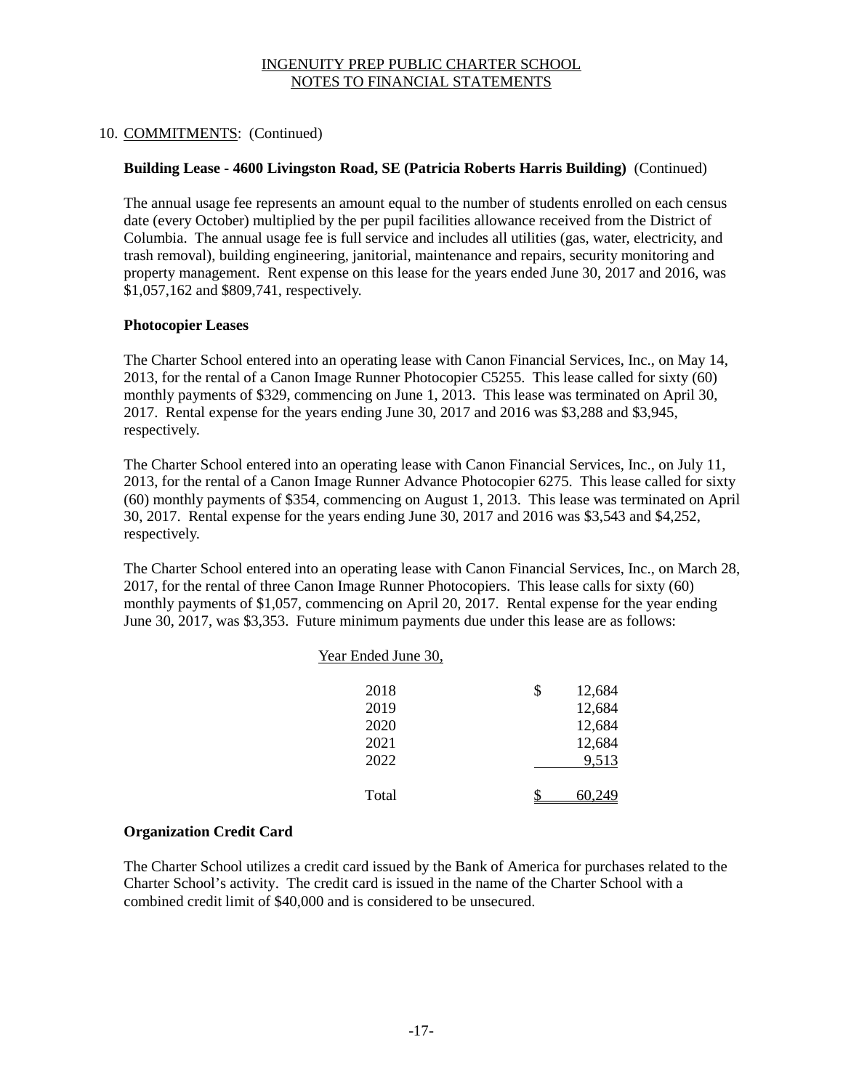## 10. COMMITMENTS: (Continued)

#### **Building Lease - 4600 Livingston Road, SE (Patricia Roberts Harris Building)** (Continued)

The annual usage fee represents an amount equal to the number of students enrolled on each census date (every October) multiplied by the per pupil facilities allowance received from the District of Columbia. The annual usage fee is full service and includes all utilities (gas, water, electricity, and trash removal), building engineering, janitorial, maintenance and repairs, security monitoring and property management. Rent expense on this lease for the years ended June 30, 2017 and 2016, was \$1,057,162 and \$809,741, respectively.

#### **Photocopier Leases**

The Charter School entered into an operating lease with Canon Financial Services, Inc., on May 14, 2013, for the rental of a Canon Image Runner Photocopier C5255. This lease called for sixty (60) monthly payments of \$329, commencing on June 1, 2013. This lease was terminated on April 30, 2017. Rental expense for the years ending June 30, 2017 and 2016 was \$3,288 and \$3,945, respectively.

The Charter School entered into an operating lease with Canon Financial Services, Inc., on July 11, 2013, for the rental of a Canon Image Runner Advance Photocopier 6275. This lease called for sixty (60) monthly payments of \$354, commencing on August 1, 2013. This lease was terminated on April 30, 2017. Rental expense for the years ending June 30, 2017 and 2016 was \$3,543 and \$4,252, respectively.

The Charter School entered into an operating lease with Canon Financial Services, Inc., on March 28, 2017, for the rental of three Canon Image Runner Photocopiers. This lease calls for sixty (60) monthly payments of \$1,057, commencing on April 20, 2017. Rental expense for the year ending June 30, 2017, was \$3,353. Future minimum payments due under this lease are as follows:

| Year Ended June 30, |              |
|---------------------|--------------|
| 2018                | \$<br>12,684 |
| 2019                | 12,684       |
| 2020                | 12,684       |
| 2021                | 12,684       |
| 2022                | 9,513        |
| Total               |              |

#### **Organization Credit Card**

The Charter School utilizes a credit card issued by the Bank of America for purchases related to the Charter School's activity. The credit card is issued in the name of the Charter School with a combined credit limit of \$40,000 and is considered to be unsecured.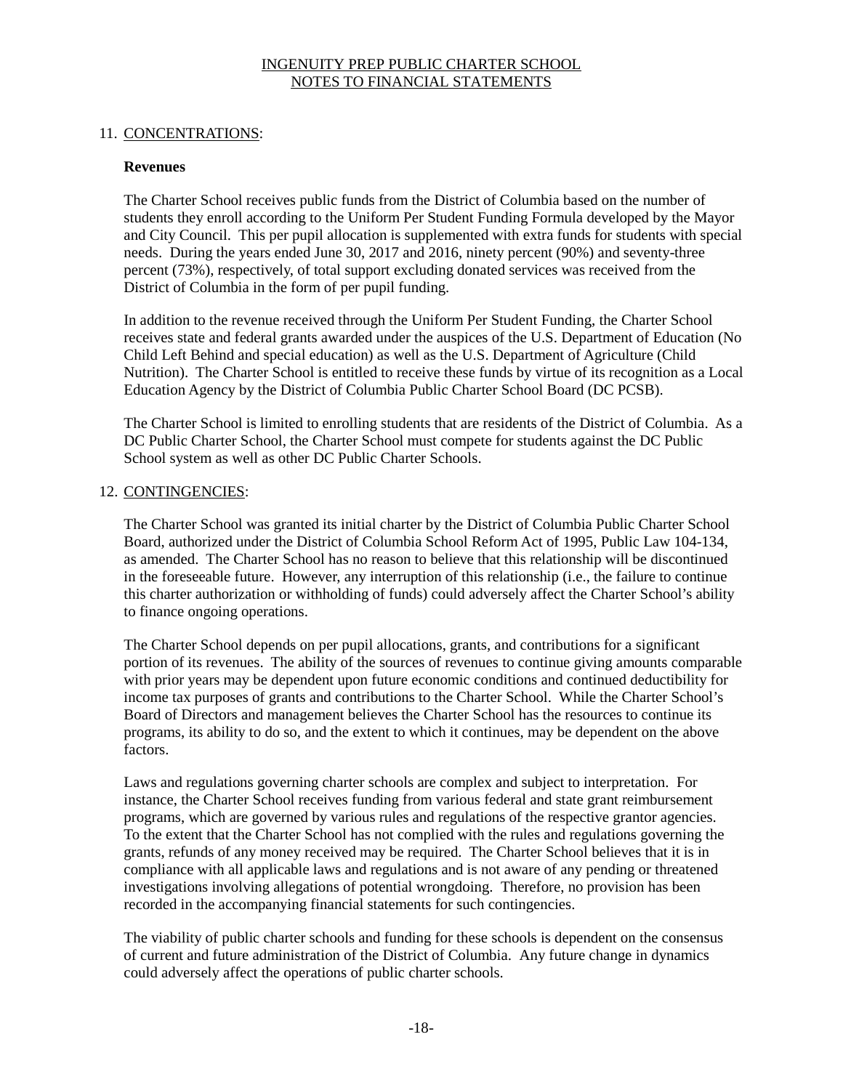#### 11. CONCENTRATIONS:

#### **Revenues**

The Charter School receives public funds from the District of Columbia based on the number of students they enroll according to the Uniform Per Student Funding Formula developed by the Mayor and City Council. This per pupil allocation is supplemented with extra funds for students with special needs. During the years ended June 30, 2017 and 2016, ninety percent (90%) and seventy-three percent (73%), respectively, of total support excluding donated services was received from the District of Columbia in the form of per pupil funding.

In addition to the revenue received through the Uniform Per Student Funding, the Charter School receives state and federal grants awarded under the auspices of the U.S. Department of Education (No Child Left Behind and special education) as well as the U.S. Department of Agriculture (Child Nutrition). The Charter School is entitled to receive these funds by virtue of its recognition as a Local Education Agency by the District of Columbia Public Charter School Board (DC PCSB).

The Charter School is limited to enrolling students that are residents of the District of Columbia. As a DC Public Charter School, the Charter School must compete for students against the DC Public School system as well as other DC Public Charter Schools.

#### 12. CONTINGENCIES:

The Charter School was granted its initial charter by the District of Columbia Public Charter School Board, authorized under the District of Columbia School Reform Act of 1995, Public Law 104-134, as amended. The Charter School has no reason to believe that this relationship will be discontinued in the foreseeable future. However, any interruption of this relationship (i.e., the failure to continue this charter authorization or withholding of funds) could adversely affect the Charter School's ability to finance ongoing operations.

The Charter School depends on per pupil allocations, grants, and contributions for a significant portion of its revenues. The ability of the sources of revenues to continue giving amounts comparable with prior years may be dependent upon future economic conditions and continued deductibility for income tax purposes of grants and contributions to the Charter School. While the Charter School's Board of Directors and management believes the Charter School has the resources to continue its programs, its ability to do so, and the extent to which it continues, may be dependent on the above factors.

Laws and regulations governing charter schools are complex and subject to interpretation. For instance, the Charter School receives funding from various federal and state grant reimbursement programs, which are governed by various rules and regulations of the respective grantor agencies. To the extent that the Charter School has not complied with the rules and regulations governing the grants, refunds of any money received may be required. The Charter School believes that it is in compliance with all applicable laws and regulations and is not aware of any pending or threatened investigations involving allegations of potential wrongdoing. Therefore, no provision has been recorded in the accompanying financial statements for such contingencies.

The viability of public charter schools and funding for these schools is dependent on the consensus of current and future administration of the District of Columbia. Any future change in dynamics could adversely affect the operations of public charter schools.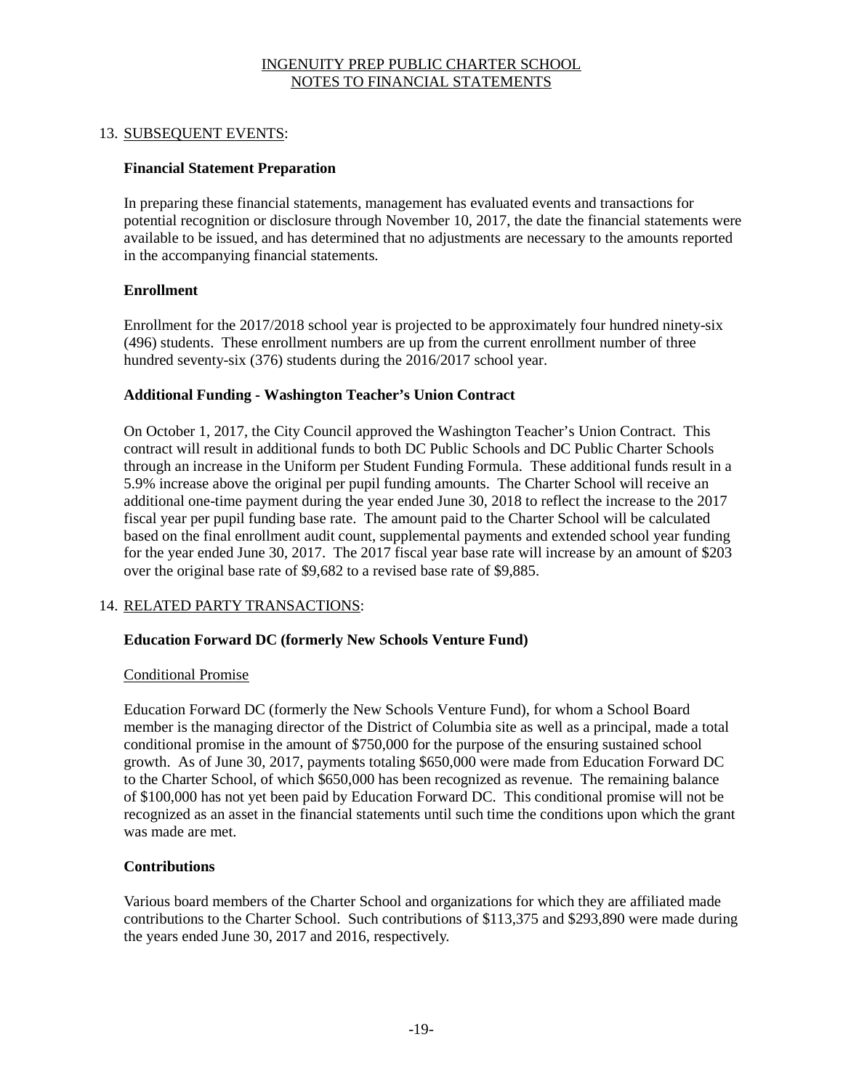#### 13. SUBSEQUENT EVENTS:

#### **Financial Statement Preparation**

In preparing these financial statements, management has evaluated events and transactions for potential recognition or disclosure through November 10, 2017, the date the financial statements were available to be issued, and has determined that no adjustments are necessary to the amounts reported in the accompanying financial statements.

#### **Enrollment**

Enrollment for the 2017/2018 school year is projected to be approximately four hundred ninety-six (496) students. These enrollment numbers are up from the current enrollment number of three hundred seventy-six (376) students during the 2016/2017 school year.

#### **Additional Funding - Washington Teacher's Union Contract**

On October 1, 2017, the City Council approved the Washington Teacher's Union Contract. This contract will result in additional funds to both DC Public Schools and DC Public Charter Schools through an increase in the Uniform per Student Funding Formula. These additional funds result in a 5.9% increase above the original per pupil funding amounts. The Charter School will receive an additional one-time payment during the year ended June 30, 2018 to reflect the increase to the 2017 fiscal year per pupil funding base rate. The amount paid to the Charter School will be calculated based on the final enrollment audit count, supplemental payments and extended school year funding for the year ended June 30, 2017. The 2017 fiscal year base rate will increase by an amount of \$203 over the original base rate of \$9,682 to a revised base rate of \$9,885.

#### 14. RELATED PARTY TRANSACTIONS:

#### **Education Forward DC (formerly New Schools Venture Fund)**

#### Conditional Promise

Education Forward DC (formerly the New Schools Venture Fund), for whom a School Board member is the managing director of the District of Columbia site as well as a principal, made a total conditional promise in the amount of \$750,000 for the purpose of the ensuring sustained school growth. As of June 30, 2017, payments totaling \$650,000 were made from Education Forward DC to the Charter School, of which \$650,000 has been recognized as revenue. The remaining balance of \$100,000 has not yet been paid by Education Forward DC. This conditional promise will not be recognized as an asset in the financial statements until such time the conditions upon which the grant was made are met.

#### **Contributions**

Various board members of the Charter School and organizations for which they are affiliated made contributions to the Charter School. Such contributions of \$113,375 and \$293,890 were made during the years ended June 30, 2017 and 2016, respectively.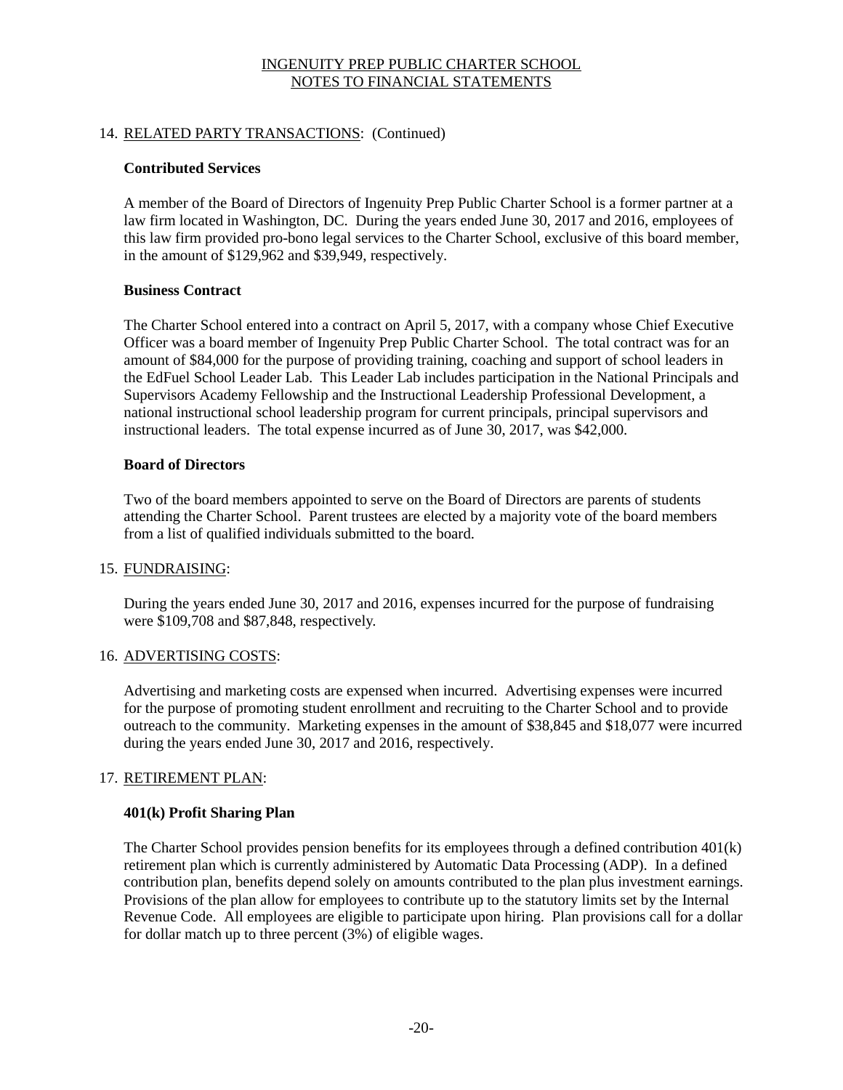# 14. RELATED PARTY TRANSACTIONS: (Continued)

#### **Contributed Services**

A member of the Board of Directors of Ingenuity Prep Public Charter School is a former partner at a law firm located in Washington, DC. During the years ended June 30, 2017 and 2016, employees of this law firm provided pro-bono legal services to the Charter School, exclusive of this board member, in the amount of \$129,962 and \$39,949, respectively.

#### **Business Contract**

The Charter School entered into a contract on April 5, 2017, with a company whose Chief Executive Officer was a board member of Ingenuity Prep Public Charter School. The total contract was for an amount of \$84,000 for the purpose of providing training, coaching and support of school leaders in the EdFuel School Leader Lab. This Leader Lab includes participation in the National Principals and Supervisors Academy Fellowship and the Instructional Leadership Professional Development, a national instructional school leadership program for current principals, principal supervisors and instructional leaders. The total expense incurred as of June 30, 2017, was \$42,000.

#### **Board of Directors**

Two of the board members appointed to serve on the Board of Directors are parents of students attending the Charter School. Parent trustees are elected by a majority vote of the board members from a list of qualified individuals submitted to the board.

#### 15. FUNDRAISING:

During the years ended June 30, 2017 and 2016, expenses incurred for the purpose of fundraising were \$109,708 and \$87,848, respectively.

#### 16. ADVERTISING COSTS:

Advertising and marketing costs are expensed when incurred. Advertising expenses were incurred for the purpose of promoting student enrollment and recruiting to the Charter School and to provide outreach to the community. Marketing expenses in the amount of \$38,845 and \$18,077 were incurred during the years ended June 30, 2017 and 2016, respectively.

#### 17. RETIREMENT PLAN:

#### **401(k) Profit Sharing Plan**

The Charter School provides pension benefits for its employees through a defined contribution 401(k) retirement plan which is currently administered by Automatic Data Processing (ADP). In a defined contribution plan, benefits depend solely on amounts contributed to the plan plus investment earnings. Provisions of the plan allow for employees to contribute up to the statutory limits set by the Internal Revenue Code. All employees are eligible to participate upon hiring. Plan provisions call for a dollar for dollar match up to three percent (3%) of eligible wages.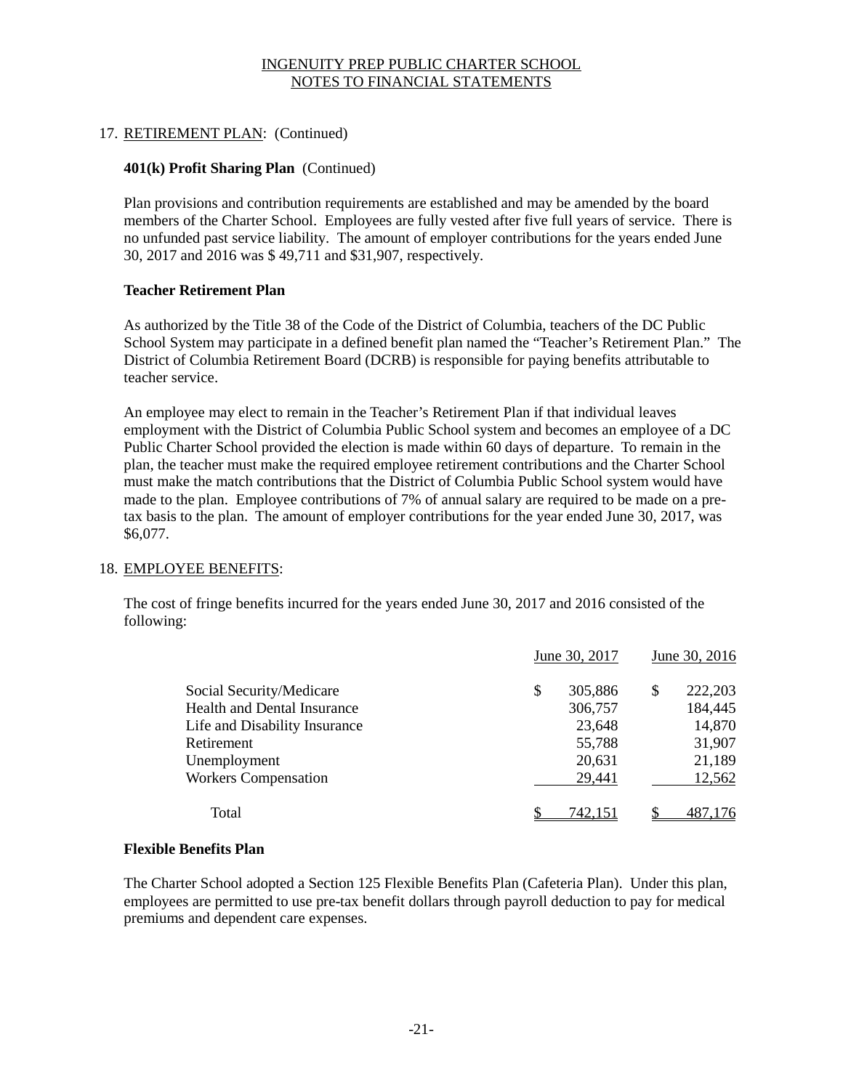## 17. RETIREMENT PLAN: (Continued)

#### **401(k) Profit Sharing Plan** (Continued)

Plan provisions and contribution requirements are established and may be amended by the board members of the Charter School. Employees are fully vested after five full years of service. There is no unfunded past service liability. The amount of employer contributions for the years ended June 30, 2017 and 2016 was \$ 49,711 and \$31,907, respectively.

#### **Teacher Retirement Plan**

As authorized by the Title 38 of the Code of the District of Columbia, teachers of the DC Public School System may participate in a defined benefit plan named the "Teacher's Retirement Plan." The District of Columbia Retirement Board (DCRB) is responsible for paying benefits attributable to teacher service.

An employee may elect to remain in the Teacher's Retirement Plan if that individual leaves employment with the District of Columbia Public School system and becomes an employee of a DC Public Charter School provided the election is made within 60 days of departure. To remain in the plan, the teacher must make the required employee retirement contributions and the Charter School must make the match contributions that the District of Columbia Public School system would have made to the plan. Employee contributions of 7% of annual salary are required to be made on a pretax basis to the plan. The amount of employer contributions for the year ended June 30, 2017, was \$6,077.

#### 18. EMPLOYEE BENEFITS:

The cost of fringe benefits incurred for the years ended June 30, 2017 and 2016 consisted of the following:

|                                    | June 30, 2017 |   | June 30, 2016 |
|------------------------------------|---------------|---|---------------|
| Social Security/Medicare           | \$<br>305,886 | S | 222,203       |
| <b>Health and Dental Insurance</b> | 306,757       |   | 184,445       |
| Life and Disability Insurance      | 23,648        |   | 14,870        |
| Retirement                         | 55,788        |   | 31,907        |
| Unemployment                       | 20,631        |   | 21,189        |
| <b>Workers Compensation</b>        | 29,441        |   | 12,562        |
| Total                              | 742,151       |   | 487,176       |

#### **Flexible Benefits Plan**

The Charter School adopted a Section 125 Flexible Benefits Plan (Cafeteria Plan). Under this plan, employees are permitted to use pre-tax benefit dollars through payroll deduction to pay for medical premiums and dependent care expenses.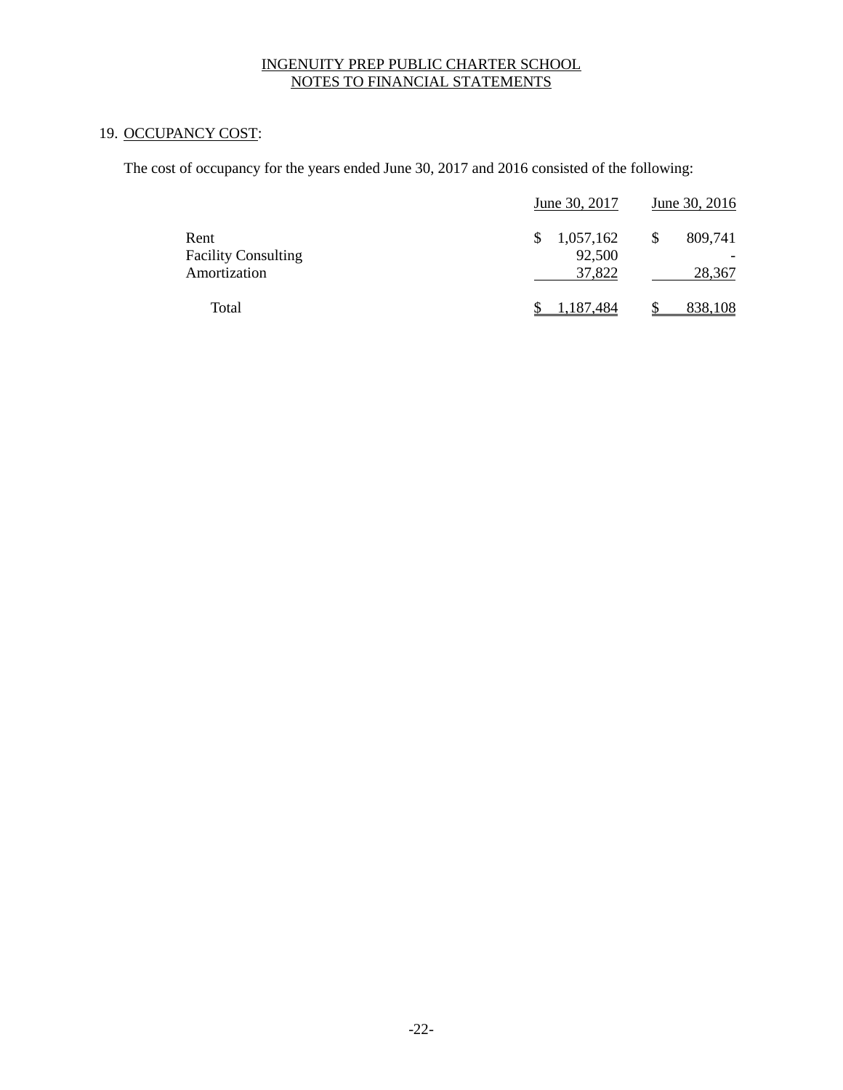# 19. OCCUPANCY COST:

The cost of occupancy for the years ended June 30, 2017 and 2016 consisted of the following:

|                            | June 30, 2017 | June 30, 2016 |
|----------------------------|---------------|---------------|
| Rent                       | 1,057,162     | 809,741       |
| <b>Facility Consulting</b> | 92,500        |               |
| Amortization               | 37,822        | 28,367        |
| Total                      | 1,187,484     | 838,108       |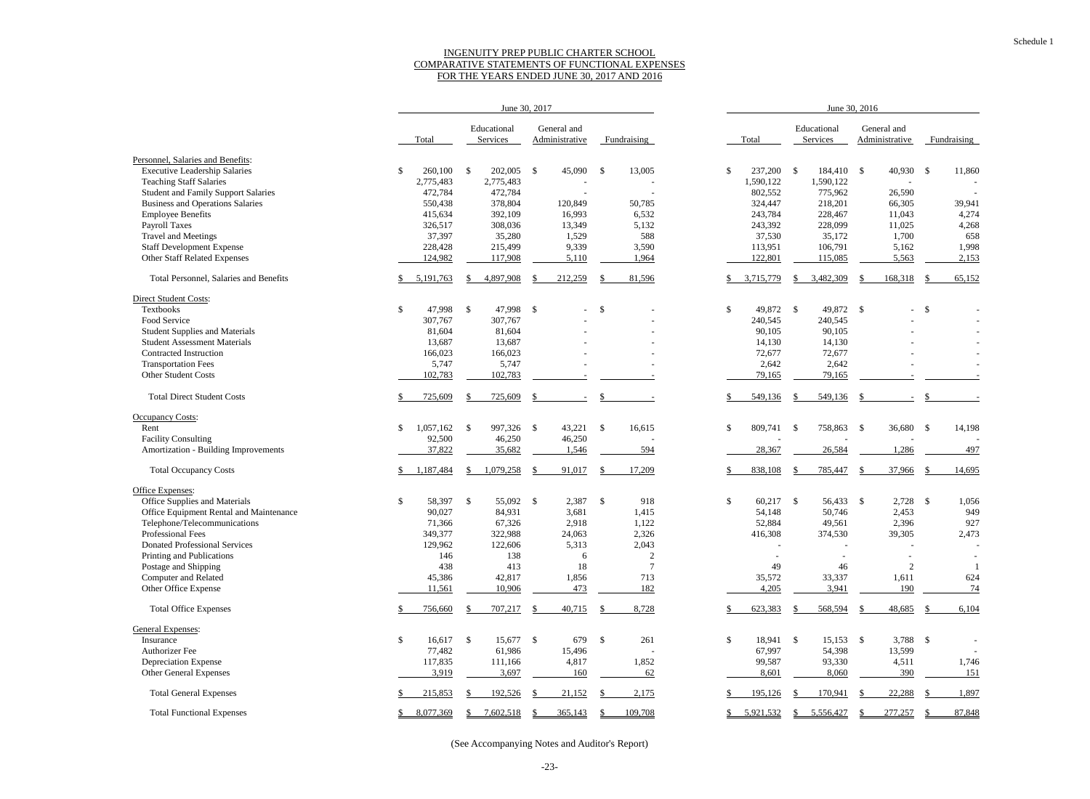#### INGENUITY PREP PUBLIC CHARTER SCHOOL COMPARATIVE STATEMENTS OF FUNCTIONAL EXPENSES FOR THE YEARS ENDED JUNE 30, 2017 AND 2016

|                                            |               |             |              | June 30, 2017 |              |                |    |                |    | June 30, 2016 |             |             |                               |                |             |                          |
|--------------------------------------------|---------------|-------------|--------------|---------------|--------------|----------------|----|----------------|----|---------------|-------------|-------------|-------------------------------|----------------|-------------|--------------------------|
|                                            | Total         |             |              | Educational   |              | General and    |    |                |    |               | Educational |             | General and<br>Administrative |                | Fundraising |                          |
|                                            |               |             |              | Services      |              | Administrative |    | Fundraising    |    | Total         |             | Services    |                               |                |             |                          |
| Personnel, Salaries and Benefits:          |               |             |              |               |              |                |    |                |    |               |             |             |                               |                |             |                          |
| <b>Executive Leadership Salaries</b>       | \$            | 260,100     | - \$         | 202,005       | $\mathbf{s}$ | 45,090         | \$ | 13,005         | \$ | 237,200       | - \$        | 184,410 \$  |                               | 40,930 \$      |             | 11,860                   |
| <b>Teaching Staff Salaries</b>             |               | 2,775,483   |              | 2,775,483     |              |                |    |                |    | 1,590,122     |             | 1,590,122   |                               |                |             |                          |
| <b>Student and Family Support Salaries</b> |               | 472,784     |              | 472,784       |              |                |    |                |    | 802,552       |             | 775,962     |                               | 26,590         |             |                          |
| <b>Business and Operations Salaries</b>    |               | 550,438     |              | 378,804       |              | 120,849        |    | 50,785         |    | 324,447       |             | 218,201     |                               | 66,305         |             | 39,941                   |
| <b>Employee Benefits</b>                   |               | 415,634     |              | 392,109       |              | 16,993         |    | 6,532          |    | 243,784       |             | 228,467     |                               | 11,043         |             | 4,274                    |
| <b>Payroll Taxes</b>                       |               | 326,517     |              | 308,036       |              | 13,349         |    | 5,132          |    | 243,392       |             | 228,099     |                               | 11,025         |             | 4,268                    |
| Travel and Meetings                        |               | 37,397      |              | 35,280        |              | 1,529          |    | 588            |    | 37,530        |             | 35,172      |                               | 1,700          |             | 658                      |
| <b>Staff Development Expense</b>           |               | 228,428     |              | 215,499       |              | 9,339          |    | 3,590          |    | 113,951       |             | 106,791     |                               | 5,162          |             | 1,998                    |
| Other Staff Related Expenses               |               | 124,982     |              | 117,908       |              | 5,110          |    | 1,964          |    | 122,801       |             | 115,085     |                               | 5,563          |             | 2,153                    |
| Total Personnel, Salaries and Benefits     |               | 5,191,763   |              | 4,897,908     |              | 212,259        |    | 81,596         |    | 3,715,779     |             | 3,482,309   |                               | 168,318        |             | 65,152                   |
| Direct Student Costs:                      |               |             |              |               |              |                |    |                |    |               |             |             |                               |                |             |                          |
| Textbooks                                  | \$            | 47,998      | $\mathbf{s}$ | 47,998 \$     |              |                | -S |                | \$ | 49,872 \$     |             | 49,872      | -\$                           |                | $-$ \$      |                          |
| Food Service                               |               | 307,767     |              | 307,767       |              |                |    |                |    | 240,545       |             | 240,545     |                               |                |             |                          |
| <b>Student Supplies and Materials</b>      |               | 81,604      |              | 81,604        |              |                |    |                |    | 90,105        |             | 90,105      |                               |                |             |                          |
| <b>Student Assessment Materials</b>        |               | 13,687      |              | 13,687        |              |                |    |                |    | 14,130        |             | 14,130      |                               |                |             |                          |
| Contracted Instruction                     |               | 166,023     |              | 166,023       |              |                |    |                |    | 72,677        |             | 72,677      |                               |                |             |                          |
| <b>Transportation Fees</b>                 |               | 5,747       |              | 5,747         |              |                |    |                |    | 2,642         |             | 2,642       |                               |                |             |                          |
| Other Student Costs                        |               | 102,783     |              | 102,783       |              |                |    |                |    | 79,165        |             | 79,165      |                               |                |             |                          |
| <b>Total Direct Student Costs</b>          |               | 725,609     |              | 725,609       |              |                |    |                |    | 549,136       |             | 549,136     |                               |                |             |                          |
| Occupancy Costs:                           |               |             |              |               |              |                |    |                |    |               |             |             |                               |                |             |                          |
| Rent                                       | <sup>\$</sup> | 1,057,162   | - \$         | 997,326 \$    |              | 43,221         | \$ | 16,615         | \$ | 809,741       | - \$        | 758,863 \$  |                               | 36,680 \$      |             | 14,198                   |
| <b>Facility Consulting</b>                 |               | 92,500      |              | 46,250        |              | 46,250         |    |                |    |               |             |             |                               |                |             |                          |
| Amortization - Building Improvements       |               | 37,822      |              | 35,682        |              | 1,546          |    | 594            |    | 28,367        |             | 26,584      |                               | 1,286          |             | 497                      |
| <b>Total Occupancy Costs</b>               |               | 1,187,484   | \$           | 1,079,258     | £.           | 91,017         | S. | 17,209         |    | 838,108       |             | 785,447     | -S                            | 37,966         |             | 14,695                   |
| Office Expenses:                           |               |             |              |               |              |                |    |                |    |               |             |             |                               |                |             |                          |
| Office Supplies and Materials              | \$            | 58,397      | $\mathbb{S}$ | 55,092 \$     |              | 2,387          | \$ | 918            | \$ | 60,217        | -\$         | 56,433 \$   |                               | $2,728$ \$     |             | 1,056                    |
| Office Equipment Rental and Maintenance    |               | 90,027      |              | 84,931        |              | 3,681          |    | 1,415          |    | 54,148        |             | 50,746      |                               | 2,453          |             | 949                      |
| Telephone/Telecommunications               |               | 71,366      |              | 67,326        |              | 2,918          |    | 1,122          |    | 52,884        |             | 49,561      |                               | 2,396          |             | 927                      |
| Professional Fees                          |               | 349,377     |              | 322,988       |              | 24,063         |    | 2,326          |    | 416,308       |             | 374,530     |                               | 39,305         |             | 2,473                    |
| <b>Donated Professional Services</b>       |               | 129,962     |              | 122,606       |              | 5,313          |    | 2,043          |    |               |             |             |                               |                |             |                          |
| Printing and Publications                  |               | 146         |              | 138           |              | 6              |    | $\mathcal{D}$  |    |               |             |             |                               |                |             |                          |
| Postage and Shipping                       |               | 438         |              | 413           |              | $18\,$         |    | $\overline{7}$ |    | 49            |             | 46          |                               | $\overline{2}$ |             | -1                       |
| <b>Computer and Related</b>                |               | 45,386      |              | 42,817        |              | 1,856          |    | 713            |    | 35,572        |             | 33,337      |                               | 1,611          |             | 624                      |
| Other Office Expense                       |               | 11,561      |              | 10,906        |              | 473            |    | 182            |    | 4,205         |             | 3,941       |                               | 190            |             | 74                       |
| <b>Total Office Expenses</b>               |               | 756,660     |              | 707,217       |              | 40,715         |    | 8,728          |    | 623,383       |             | 568,594     |                               | 48,685         |             | 6,104                    |
| General Expenses:                          |               |             |              |               |              |                |    |                |    |               |             |             |                               |                |             |                          |
| Insurance                                  | \$            | $16,617$ \$ |              | 15,677 \$     |              | 679            | \$ | 261            | \$ | 18,941 \$     |             | $15,153$ \$ |                               | 3,788 $$$      |             | $\overline{\phantom{a}}$ |
| Authorizer Fee                             |               | 77,482      |              | 61,986        |              | 15,496         |    |                |    | 67,997        |             | 54,398      |                               | 13,599         |             |                          |
| Depreciation Expense                       |               | 117,835     |              | 111,166       |              | 4,817          |    | 1,852          |    | 99,587        |             | 93,330      |                               | 4,511          |             | 1,746                    |
| Other General Expenses                     |               | 3,919       |              | 3,697         |              | 160            |    | 62             |    | 8,601         |             | 8,060       |                               | 390            |             | 151                      |
| <b>Total General Expenses</b>              |               | 215,853     |              | 192,526       |              | 21,152         |    | 2,175          |    | 195,126       |             | 170,941     |                               | 22,288         |             | 1,897                    |
| <b>Total Functional Expenses</b>           |               | 8,077,369   |              | 7,602,518     |              | 365,143        | -S | 109,708        |    | \$5,921,532   |             | 5,556,427   |                               | 277,257        |             | 87,848                   |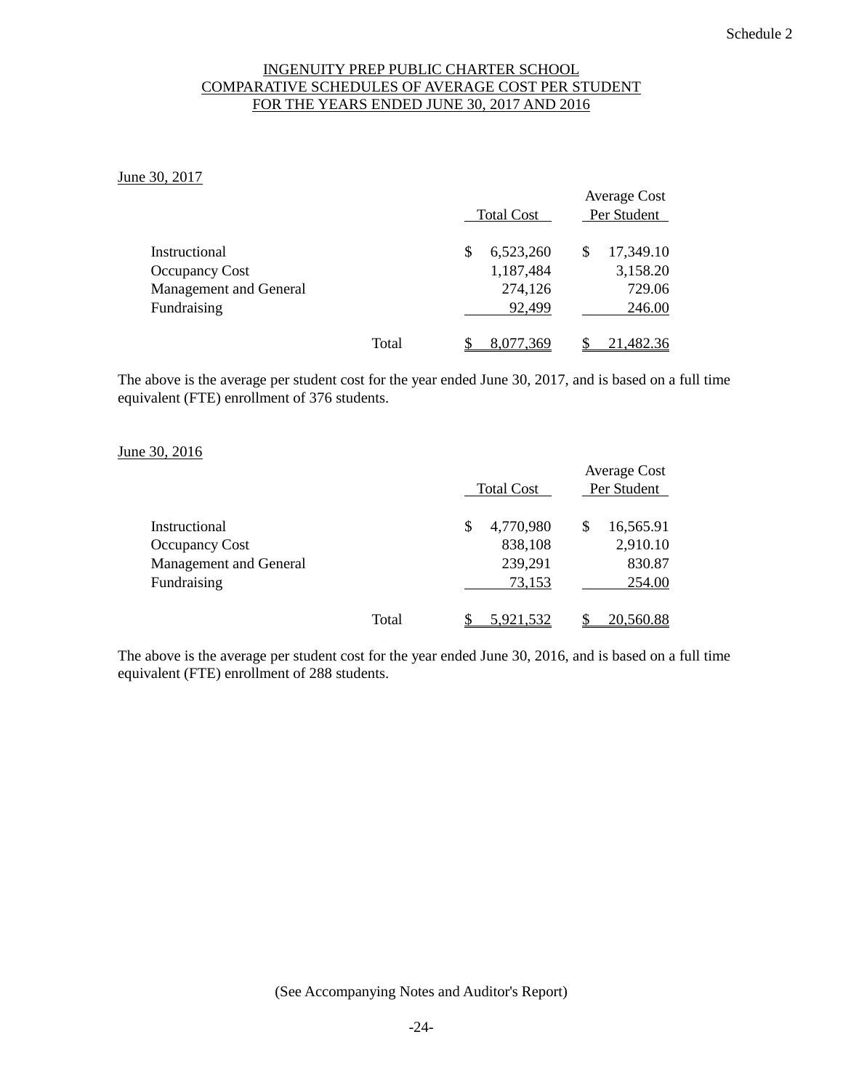## INGENUITY PREP PUBLIC CHARTER SCHOOL COMPARATIVE SCHEDULES OF AVERAGE COST PER STUDENT FOR THE YEARS ENDED JUNE 30, 2017 AND 2016

#### June 30, 2017

|                               |       | <b>Total Cost</b> |   | <b>Average Cost</b><br>Per Student |
|-------------------------------|-------|-------------------|---|------------------------------------|
| Instructional                 |       | 6,523,260         | S | 17,349.10                          |
| <b>Occupancy Cost</b>         |       | 1,187,484         |   | 3,158.20                           |
| <b>Management and General</b> |       | 274,126           |   | 729.06                             |
| Fundraising                   |       | 92,499            |   | 246.00                             |
|                               | Total | 8.077.369         |   | 21,482.36                          |

The above is the average per student cost for the year ended June 30, 2017, and is based on a full time equivalent (FTE) enrollment of 376 students.

#### June 30, 2016

|                               |       | <b>Total Cost</b> |   | <b>Average Cost</b><br>Per Student |
|-------------------------------|-------|-------------------|---|------------------------------------|
| Instructional                 |       | 4,770,980         | S | 16,565.91                          |
| <b>Occupancy Cost</b>         |       | 838,108           |   | 2,910.10                           |
| <b>Management and General</b> |       | 239,291           |   | 830.87                             |
| Fundraising                   |       | 73,153            |   | 254.00                             |
|                               | Total | 5,921,532         |   | 20,560.88                          |

The above is the average per student cost for the year ended June 30, 2016, and is based on a full time equivalent (FTE) enrollment of 288 students.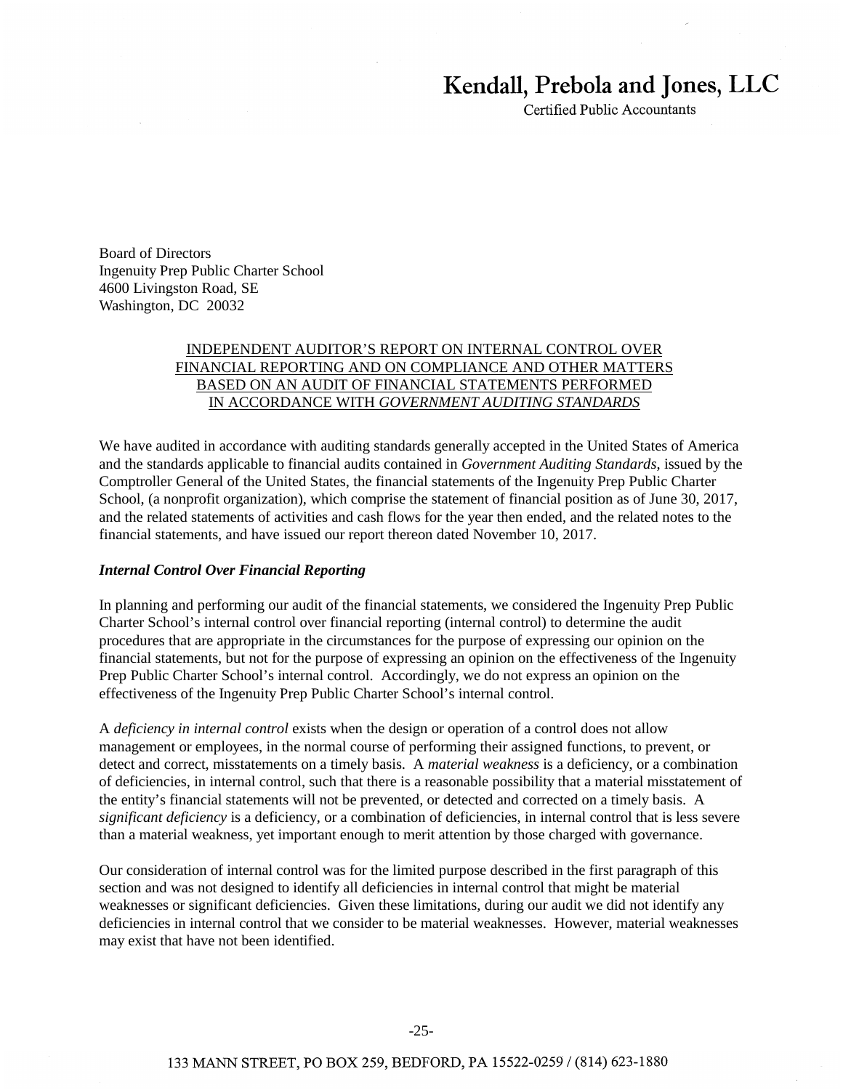# Kendall, Prebola and Jones, LLC

Certified Public Accountants

Board of Directors Ingenuity Prep Public Charter School 4600 Livingston Road, SE Washington, DC 20032

#### INDEPENDENT AUDITOR'S REPORT ON INTERNAL CONTROL OVER FINANCIAL REPORTING AND ON COMPLIANCE AND OTHER MATTERS BASED ON AN AUDIT OF FINANCIAL STATEMENTS PERFORMED IN ACCORDANCE WITH *GOVERNMENT AUDITING STANDARDS*

We have audited in accordance with auditing standards generally accepted in the United States of America and the standards applicable to financial audits contained in *Government Auditing Standards*, issued by the Comptroller General of the United States, the financial statements of the Ingenuity Prep Public Charter School, (a nonprofit organization), which comprise the statement of financial position as of June 30, 2017, and the related statements of activities and cash flows for the year then ended, and the related notes to the financial statements, and have issued our report thereon dated November 10, 2017.

#### *Internal Control Over Financial Reporting*

In planning and performing our audit of the financial statements, we considered the Ingenuity Prep Public Charter School's internal control over financial reporting (internal control) to determine the audit procedures that are appropriate in the circumstances for the purpose of expressing our opinion on the financial statements, but not for the purpose of expressing an opinion on the effectiveness of the Ingenuity Prep Public Charter School's internal control. Accordingly, we do not express an opinion on the effectiveness of the Ingenuity Prep Public Charter School's internal control.

A *deficiency in internal control* exists when the design or operation of a control does not allow management or employees, in the normal course of performing their assigned functions, to prevent, or detect and correct, misstatements on a timely basis. A *material weakness* is a deficiency, or a combination of deficiencies, in internal control, such that there is a reasonable possibility that a material misstatement of the entity's financial statements will not be prevented, or detected and corrected on a timely basis. A *significant deficiency* is a deficiency, or a combination of deficiencies, in internal control that is less severe than a material weakness, yet important enough to merit attention by those charged with governance.

Our consideration of internal control was for the limited purpose described in the first paragraph of this section and was not designed to identify all deficiencies in internal control that might be material weaknesses or significant deficiencies. Given these limitations, during our audit we did not identify any deficiencies in internal control that we consider to be material weaknesses. However, material weaknesses may exist that have not been identified.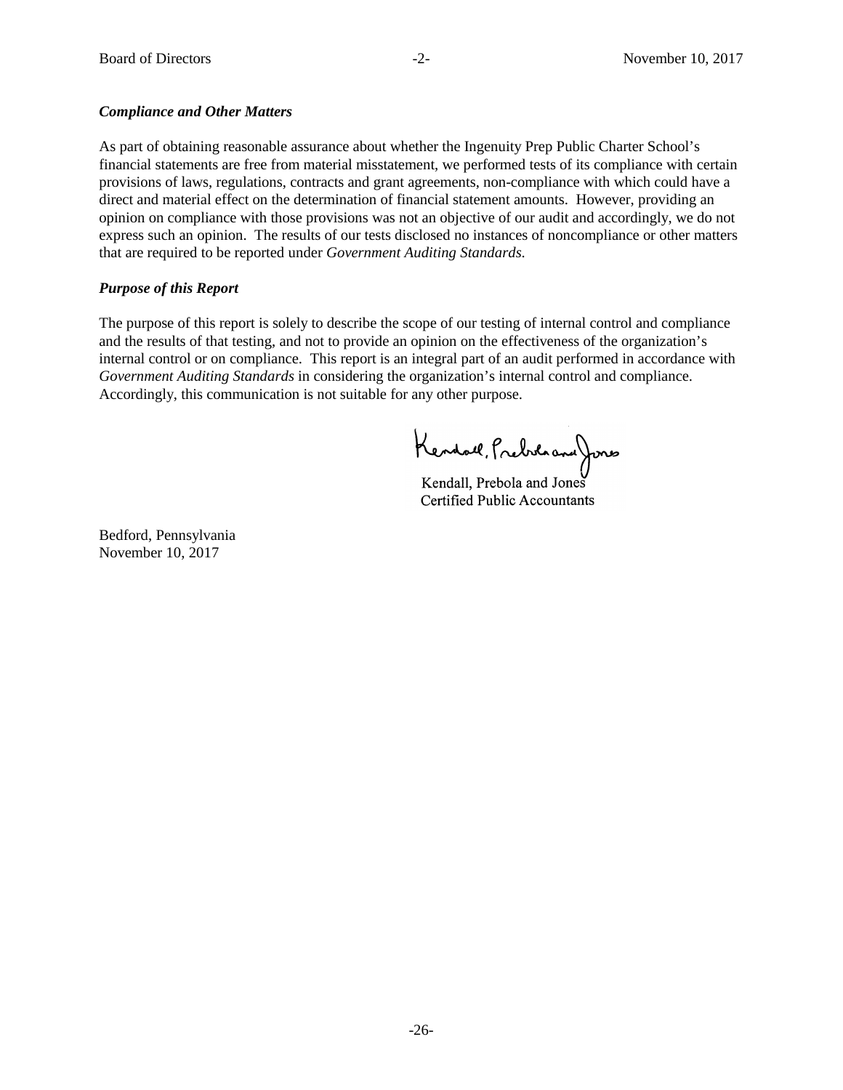# *Compliance and Other Matters* **including and reconciling such information directly to the unit of underlying and other Matters**

As part of obtaining reasonable assurance about whether the Ingenuity Prep Public Charter School's financial statements are free from material misstatement, we performed tests of its compliance with certain provisions of laws, regulations, contracts and grant agreements, non-compliance with which could have a direct and material effect on the determination of financial statement amounts. However, providing an opinion on compliance with those provisions was not an objective of our audit and accordingly, we do not express such an opinion. The results of our tests disclosed no instances of noncompliance or other matters that are required to be reported under *Government Auditing Standards*. As part of obtaining reasonable assurance about whether the Ingenuity Prep Public Charter School's

# *Purpose of this Report*  $\blacksquare$

The purpose of this report is solely to describe the scope of our testing of internal control and compliance and the results of that testing, and not to provide an opinion on the effectiveness of the organization's internal control or on compliance. This report is an integral part of an audit performed in accordance with Government Auditing Standards in considering the organization's internal control and compliance. Accordingly, this communication is not suitable for any other purpose.

Kendall, Prebila and Jones

Kendall, Prebola and Jones Kendall, Prebola and Jones Certified Public Accountants Certified Public Accountants

Bedford, Pennsylvania Bedford, Pennsylvania November 10, 2017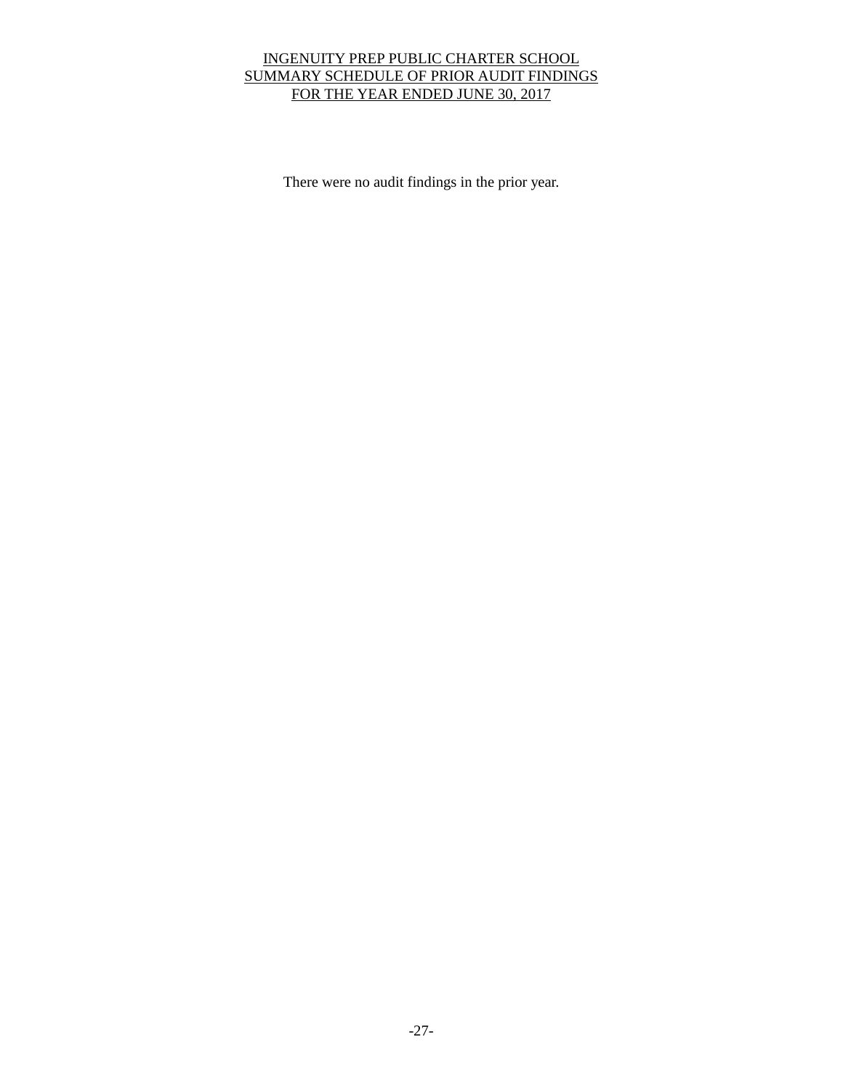# INGENUITY PREP PUBLIC CHARTER SCHOOL SUMMARY SCHEDULE OF PRIOR AUDIT FINDINGS FOR THE YEAR ENDED JUNE 30, 2017

There were no audit findings in the prior year.